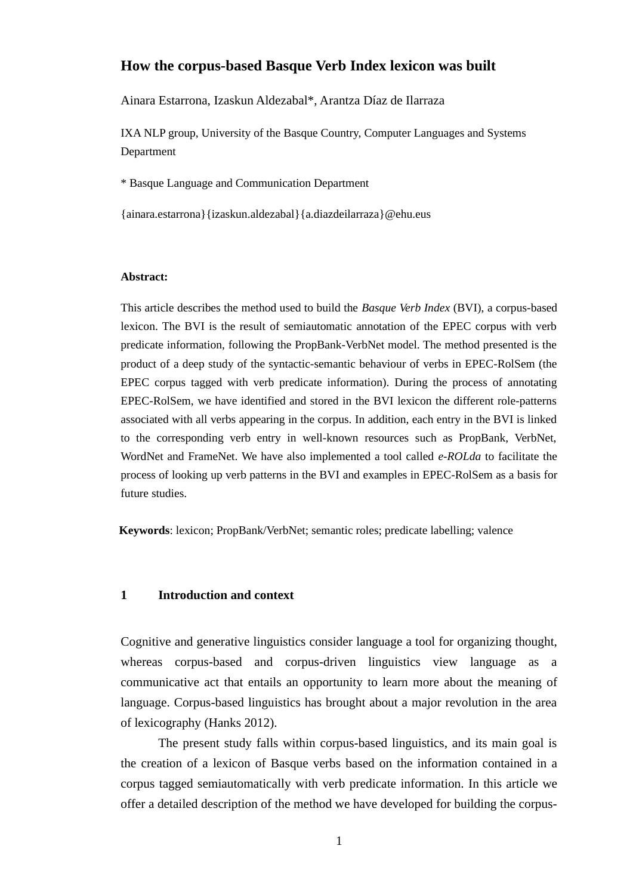# **How the corpus-based Basque Verb Index lexicon was built**

Ainara Estarrona, Izaskun Aldezabal\*, Arantza Díaz de Ilarraza

IXA NLP group, University of the Basque Country, Computer Languages and Systems Department

\* Basque Language and Communication Department

{ainara.estarrona}{izaskun.aldezabal}{a.diazdeilarraza}@ehu.eus

#### **Abstract:**

This article describes the method used to build the *Basque Verb Index* (BVI), a corpus-based lexicon. The BVI is the result of semiautomatic annotation of the EPEC corpus with verb predicate information, following the PropBank-VerbNet model. The method presented is the product of a deep study of the syntactic-semantic behaviour of verbs in EPEC-RolSem (the EPEC corpus tagged with verb predicate information). During the process of annotating EPEC-RolSem, we have identified and stored in the BVI lexicon the different role-patterns associated with all verbs appearing in the corpus. In addition, each entry in the BVI is linked to the corresponding verb entry in well-known resources such as PropBank, VerbNet, WordNet and FrameNet. We have also implemented a tool called *e-ROLda* to facilitate the process of looking up verb patterns in the BVI and examples in EPEC-RolSem as a basis for future studies.

**Keywords**: lexicon; PropBank/VerbNet; semantic roles; predicate labelling; valence

#### **1 Introduction and context**

Cognitive and generative linguistics consider language a tool for organizing thought, whereas corpus-based and corpus-driven linguistics view language as a communicative act that entails an opportunity to learn more about the meaning of language. Corpus-based linguistics has brought about a major revolution in the area of lexicography (Hanks 2012).

The present study falls within corpus-based linguistics, and its main goal is the creation of a lexicon of Basque verbs based on the information contained in a corpus tagged semiautomatically with verb predicate information. In this article we offer a detailed description of the method we have developed for building the corpus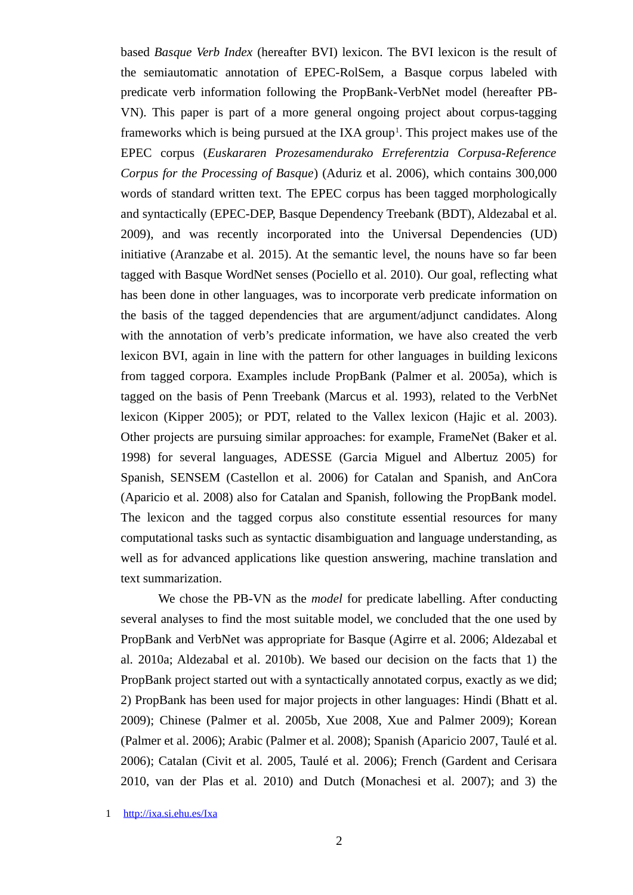based *Basque Verb Index* (hereafter BVI) lexicon. The BVI lexicon is the result of the semiautomatic annotation of EPEC-RolSem, a Basque corpus labeled with predicate verb information following the PropBank-VerbNet model (hereafter PB-VN). This paper is part of a more general ongoing project about corpus-tagging frameworks which is being pursued at the IXA group<sup>[1](#page-1-0)</sup>. This project makes use of the EPEC corpus (*Euskararen Prozesamendurako Erreferentzia Corpusa-Reference Corpus for the Processing of Basque*) (Aduriz et al. 2006), which contains 300,000 words of standard written text. The EPEC corpus has been tagged morphologically and syntactically (EPEC-DEP, Basque Dependency Treebank (BDT), Aldezabal et al. 2009), and was recently incorporated into the Universal Dependencies (UD) initiative (Aranzabe et al. 2015). At the semantic level, the nouns have so far been tagged with Basque WordNet senses (Pociello et al. 2010). Our goal, reflecting what has been done in other languages, was to incorporate verb predicate information on the basis of the tagged dependencies that are argument/adjunct candidates. Along with the annotation of verb's predicate information, we have also created the verb lexicon BVI, again in line with the pattern for other languages in building lexicons from tagged corpora. Examples include PropBank (Palmer et al. 2005a), which is tagged on the basis of Penn Treebank (Marcus et al. 1993), related to the VerbNet lexicon (Kipper 2005); or PDT, related to the Vallex lexicon (Hajic et al. 2003). Other projects are pursuing similar approaches: for example, FrameNet (Baker et al. 1998) for several languages, ADESSE (Garcia Miguel and Albertuz 2005) for Spanish, SENSEM (Castellon et al. 2006) for Catalan and Spanish, and AnCora (Aparicio et al. 2008) also for Catalan and Spanish, following the PropBank model. The lexicon and the tagged corpus also constitute essential resources for many computational tasks such as syntactic disambiguation and language understanding, as well as for advanced applications like question answering, machine translation and text summarization.

We chose the PB-VN as the *model* for predicate labelling. After conducting several analyses to find the most suitable model, we concluded that the one used by PropBank and VerbNet was appropriate for Basque (Agirre et al. 2006; Aldezabal et al. 2010a; Aldezabal et al. 2010b). We based our decision on the facts that 1) the PropBank project started out with a syntactically annotated corpus, exactly as we did; 2) PropBank has been used for major projects in other languages: Hindi (Bhatt et al. 2009); Chinese (Palmer et al. 2005b, Xue 2008, Xue and Palmer 2009); Korean (Palmer et al. 2006); Arabic (Palmer et al. 2008); Spanish (Aparicio 2007, Taulé et al. 2006); Catalan (Civit et al. 2005, Taulé et al. 2006); French (Gardent and Cerisara 2010, van der Plas et al. 2010) and Dutch (Monachesi et al. 2007); and 3) the

<span id="page-1-0"></span>1 http://ixa.si.ehu.es/Ixa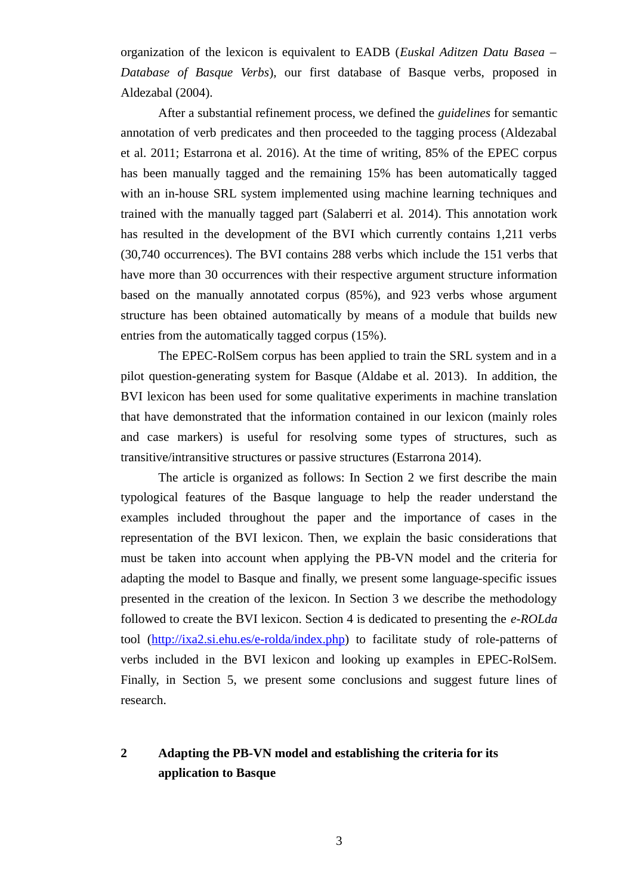organization of the lexicon is equivalent to EADB (*Euskal Aditzen Datu Basea – Database of Basque Verbs*), our first database of Basque verbs, proposed in Aldezabal (2004).

After a substantial refinement process, we defined the *guidelines* for semantic annotation of verb predicates and then proceeded to the tagging process (Aldezabal et al. 2011; Estarrona et al. 2016). At the time of writing, 85% of the EPEC corpus has been manually tagged and the remaining 15% has been automatically tagged with an in-house SRL system implemented using machine learning techniques and trained with the manually tagged part (Salaberri et al. 2014). This annotation work has resulted in the development of the BVI which currently contains 1,211 verbs (30,740 occurrences). The BVI contains 288 verbs which include the 151 verbs that have more than 30 occurrences with their respective argument structure information based on the manually annotated corpus (85%), and 923 verbs whose argument structure has been obtained automatically by means of a module that builds new entries from the automatically tagged corpus (15%).

The EPEC-RolSem corpus has been applied to train the SRL system and in a pilot question-generating system for Basque (Aldabe et al. 2013). In addition, the BVI lexicon has been used for some qualitative experiments in machine translation that have demonstrated that the information contained in our lexicon (mainly roles and case markers) is useful for resolving some types of structures, such as transitive/intransitive structures or passive structures (Estarrona 2014).

The article is organized as follows: In Section 2 we first describe the main typological features of the Basque language to help the reader understand the examples included throughout the paper and the importance of cases in the representation of the BVI lexicon. Then, we explain the basic considerations that must be taken into account when applying the PB-VN model and the criteria for adapting the model to Basque and finally, we present some language-specific issues presented in the creation of the lexicon. In Section 3 we describe the methodology followed to create the BVI lexicon. Section 4 is dedicated to presenting the *e-ROLda* tool [\(http://ixa2.si.ehu.es/e-rolda/index.php\)](http://ixa2.si.ehu.es/e-rolda/index.php) to facilitate study of role-patterns of verbs included in the BVI lexicon and looking up examples in EPEC-RolSem. Finally, in Section 5, we present some conclusions and suggest future lines of research.

# **2 Adapting the PB-VN model and establishing the criteria for its application to Basque**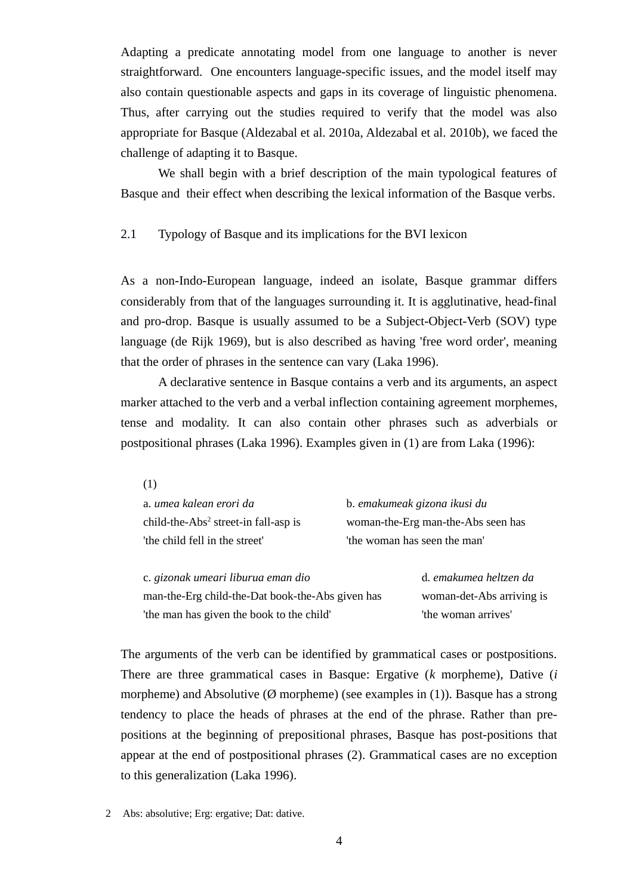Adapting a predicate annotating model from one language to another is never straightforward. One encounters language-specific issues, and the model itself may also contain questionable aspects and gaps in its coverage of linguistic phenomena. Thus, after carrying out the studies required to verify that the model was also appropriate for Basque (Aldezabal et al. 2010a, Aldezabal et al. 2010b), we faced the challenge of adapting it to Basque.

We shall begin with a brief description of the main typological features of Basque and their effect when describing the lexical information of the Basque verbs.

# 2.1 Typology of Basque and its implications for the BVI lexicon

As a non-Indo-European language, indeed an isolate, Basque grammar differs considerably from that of the languages surrounding it. It is agglutinative, head-final and pro-drop. Basque is usually assumed to be a Subject-Object-Verb (SOV) type language (de Rijk 1969), but is also described as having 'free word order', meaning that the order of phrases in the sentence can vary (Laka 1996).

A declarative sentence in Basque contains a verb and its arguments, an aspect marker attached to the verb and a verbal inflection containing agreement morphemes, tense and modality. It can also contain other phrases such as adverbials or postpositional phrases (Laka 1996). Examples given in (1) are from Laka (1996):

| a. umea kalean erori da                          | b. emakumeak gizona ikusi du       |
|--------------------------------------------------|------------------------------------|
| child-the-Abs <sup>2</sup> street-in fall-asp is | woman-the-Erg man-the-Abs seen has |
| 'the child fell in the street'                   | 'the woman has seen the man'       |
|                                                  |                                    |
| c. gizonak umeari liburua eman dio               | d. emakumea heltzen da             |

| C. Gizonuk ameuri nodrua eman dio                | u. Elliunullieu liettzeit uu |
|--------------------------------------------------|------------------------------|
| man-the-Erg child-the-Dat book-the-Abs given has | woman-det-Abs arriving is    |
| 'the man has given the book to the child'        | 'the woman arrives'          |

The arguments of the verb can be identified by grammatical cases or postpositions. There are three grammatical cases in Basque: Ergative (*k* morpheme), Dative (*i* morpheme) and Absolutive ( $\emptyset$  morpheme) (see examples in (1)). Basque has a strong tendency to place the heads of phrases at the end of the phrase. Rather than prepositions at the beginning of prepositional phrases, Basque has post-positions that appear at the end of postpositional phrases (2). Grammatical cases are no exception to this generalization (Laka 1996).

<span id="page-3-0"></span>2 Abs: absolutive; Erg: ergative; Dat: dative.

(1)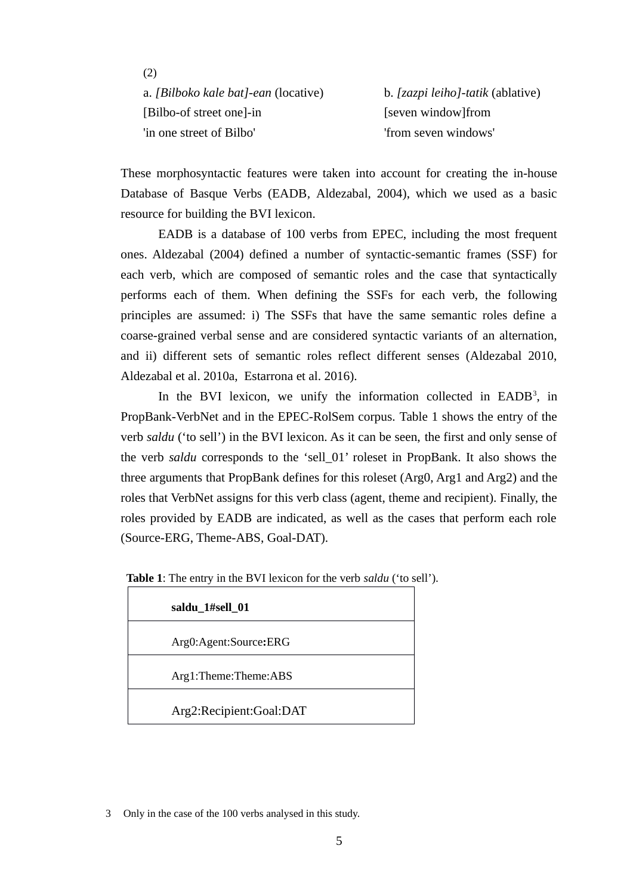(2) a. *[Bilboko kale bat]-ean* (locative) b. *[zazpi leiho]-tatik* (ablative) [Bilbo-of street one]-in [seven window]from 'in one street of Bilbo' 'from seven windows'

These morphosyntactic features were taken into account for creating the in-house Database of Basque Verbs (EADB*,* Aldezabal, 2004), which we used as a basic resource for building the BVI lexicon.

EADB is a database of 100 verbs from EPEC, including the most frequent ones. Aldezabal (2004) defined a number of syntactic-semantic frames (SSF) for each verb, which are composed of semantic roles and the case that syntactically performs each of them. When defining the SSFs for each verb, the following principles are assumed: i) The SSFs that have the same semantic roles define a coarse-grained verbal sense and are considered syntactic variants of an alternation, and ii) different sets of semantic roles reflect different senses (Aldezabal 2010, Aldezabal et al. 2010a, Estarrona et al. 2016).

In the BVI lexicon, we unify the information collected in EADB<sup>[3](#page-4-0)</sup>, in PropBank-VerbNet and in the EPEC-RolSem corpus. Table 1 shows the entry of the verb *saldu* ('to sell') in the BVI lexicon. As it can be seen, the first and only sense of the verb *saldu* corresponds to the 'sell\_01' roleset in PropBank. It also shows the three arguments that PropBank defines for this roleset (Arg0, Arg1 and Arg2) and the roles that VerbNet assigns for this verb class (agent, theme and recipient). Finally, the roles provided by EADB are indicated, as well as the cases that perform each role (Source-ERG, Theme-ABS, Goal-DAT).

| saldu_1#sell_01         |  |
|-------------------------|--|
| Arg0:Agent:Source:ERG   |  |
| Arg1:Theme:Theme:ABS    |  |
| Arg2:Recipient:Goal:DAT |  |

 **Table 1**: The entry in the BVI lexicon for the verb *saldu* ('to sell')*.*

<span id="page-4-0"></span><sup>3</sup> Only in the case of the 100 verbs analysed in this study.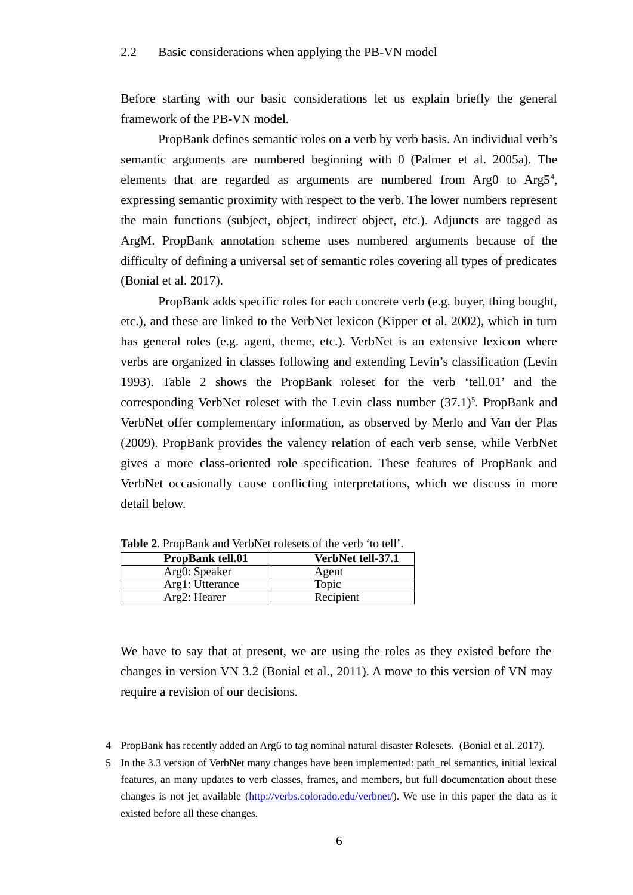Before starting with our basic considerations let us explain briefly the general framework of the PB-VN model.

PropBank defines semantic roles on a verb by verb basis. An individual verb's semantic arguments are numbered beginning with 0 (Palmer et al. 2005a). The elements that are regarded as arguments are numbered from Arg0 to Arg5<sup>[4](#page-5-0)</sup>, expressing semantic proximity with respect to the verb. The lower numbers represent the main functions (subject, object, indirect object, etc.). Adjuncts are tagged as ArgM. PropBank annotation scheme uses numbered arguments because of the difficulty of defining a universal set of semantic roles covering all types of predicates (Bonial et al. 2017).

PropBank adds specific roles for each concrete verb (e.g. buyer, thing bought, etc.), and these are linked to the VerbNet lexicon (Kipper et al. 2002), which in turn has general roles (e.g. agent, theme, etc.). VerbNet is an extensive lexicon where verbs are organized in classes following and extending Levin's classification (Levin 1993). Table 2 shows the PropBank roleset for the verb 'tell.01' and the corresponding VerbNet roleset with the Levin class number  $(37.1)^5$  $(37.1)^5$ . PropBank and VerbNet offer complementary information, as observed by Merlo and Van der Plas (2009). PropBank provides the valency relation of each verb sense, while VerbNet gives a more class-oriented role specification. These features of PropBank and VerbNet occasionally cause conflicting interpretations, which we discuss in more detail below.

| <b>PropBank tell.01</b> | VerbNet tell-37.1 |
|-------------------------|-------------------|
| Arg0: Speaker           | Agent             |
| Arg1: Utterance         | <b>Topic</b>      |
| Arg2: Hearer            | Recipient         |

**Table 2**. PropBank and VerbNet rolesets of the verb 'to tell'.

We have to say that at present, we are using the roles as they existed before the changes in version VN 3.2 (Bonial et al., 2011). A move to this version of VN may require a revision of our decisions.

- <span id="page-5-0"></span>4 PropBank has recently added an Arg6 to tag nominal natural disaster Rolesets. (Bonial et al. 2017).
- <span id="page-5-1"></span>5 In the 3.3 version of VerbNet many changes have been implemented: path\_rel semantics, initial lexical features, an many updates to verb classes, frames, and members, but full documentation about these changes is not jet available [\(http://verbs.colorado.edu/verbnet/\)](http://verbs.colorado.edu/verbnet/). We use in this paper the data as it existed before all these changes.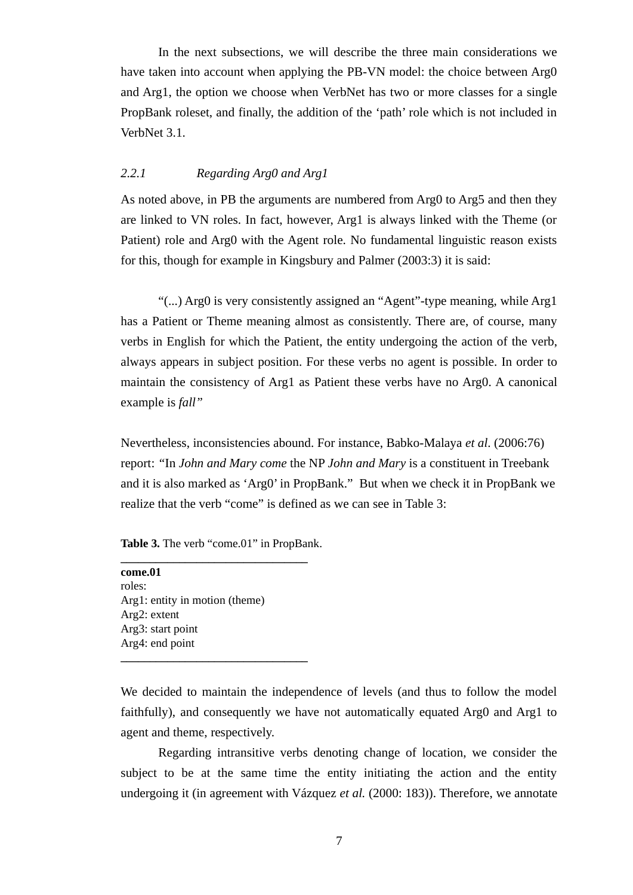In the next subsections, we will describe the three main considerations we have taken into account when applying the PB-VN model: the choice between Arg0 and Arg1, the option we choose when VerbNet has two or more classes for a single PropBank roleset, and finally, the addition of the 'path' role which is not included in VerbNet 3.1.

# *2.2.1 Regarding Arg0 and Arg1*

As noted above, in PB the arguments are numbered from Arg0 to Arg5 and then they are linked to VN roles. In fact, however, Arg1 is always linked with the Theme (or Patient) role and Arg0 with the Agent role. No fundamental linguistic reason exists for this, though for example in Kingsbury and Palmer (2003:3) it is said:

"(...) Arg0 is very consistently assigned an "Agent"-type meaning, while Arg1 has a Patient or Theme meaning almost as consistently. There are, of course, many verbs in English for which the Patient, the entity undergoing the action of the verb, always appears in subject position. For these verbs no agent is possible. In order to maintain the consistency of Arg1 as Patient these verbs have no Arg0. A canonical example is *fall"* 

Nevertheless, inconsistencies abound. For instance, Babko-Malaya *et al*. (2006:76) report: *"*In *John and Mary come* the NP *John and Mary* is a constituent in Treebank and it is also marked as 'Arg0' in PropBank." But when we check it in PropBank we realize that the verb "come" is defined as we can see in Table 3:

#### **Table 3.** The verb "come.01" in PropBank. **\_\_\_\_\_\_\_\_\_\_\_\_\_\_\_\_\_\_\_\_\_\_\_\_\_\_\_\_\_\_\_\_**

| come.01                        |  |
|--------------------------------|--|
| roles:                         |  |
| Arg1: entity in motion (theme) |  |
| Arg2: extent                   |  |
| Arg3: start point              |  |
| Arg4: end point                |  |
|                                |  |

We decided to maintain the independence of levels (and thus to follow the model faithfully), and consequently we have not automatically equated Arg0 and Arg1 to agent and theme, respectively.

Regarding intransitive verbs denoting change of location, we consider the subject to be at the same time the entity initiating the action and the entity undergoing it (in agreement with Vázquez *et al.* (2000: 183)). Therefore, we annotate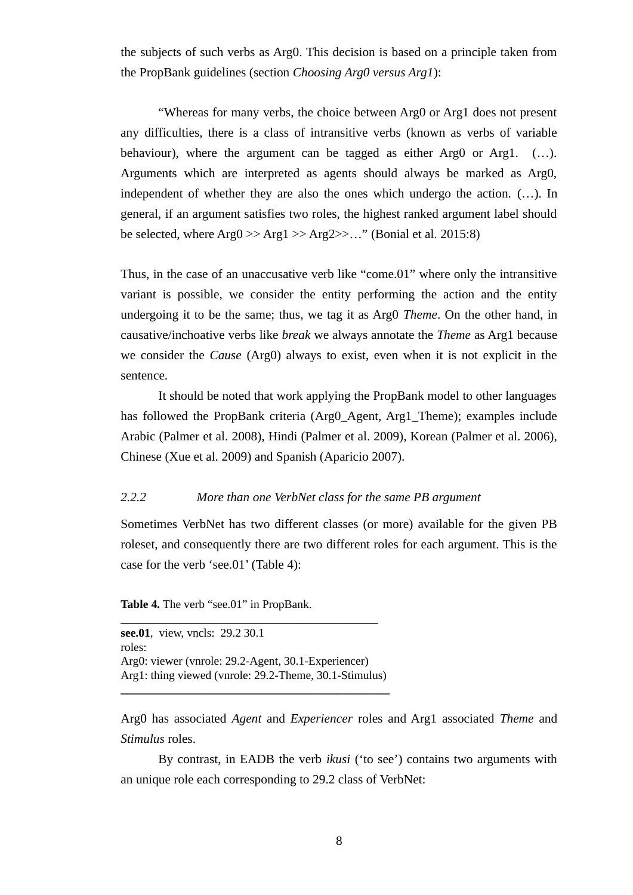the subjects of such verbs as Arg0. This decision is based on a principle taken from the PropBank guidelines (section *Choosing Arg0 versus Arg1*):

"Whereas for many verbs, the choice between Arg0 or Arg1 does not present any difficulties, there is a class of intransitive verbs (known as verbs of variable behaviour), where the argument can be tagged as either Arg0 or Arg1. (...). Arguments which are interpreted as agents should always be marked as Arg0, independent of whether they are also the ones which undergo the action. (…). In general, if an argument satisfies two roles, the highest ranked argument label should be selected, where  $Arg0 \gg Arg1 \gg Arg2 \gg ...$ " (Bonial et al. 2015:8)

Thus, in the case of an unaccusative verb like "come.01" where only the intransitive variant is possible, we consider the entity performing the action and the entity undergoing it to be the same; thus, we tag it as Arg0 *Theme*. On the other hand, in causative/inchoative verbs like *break* we always annotate the *Theme* as Arg1 because we consider the *Cause* (Arg0) always to exist, even when it is not explicit in the sentence.

It should be noted that work applying the PropBank model to other languages has followed the PropBank criteria (Arg0\_Agent, Arg1\_Theme); examples include Arabic (Palmer et al. 2008), Hindi (Palmer et al. 2009), Korean (Palmer et al. 2006), Chinese (Xue et al. 2009) and Spanish (Aparicio 2007).

# *2.2.2 More than one VerbNet class for the same PB argument*

Sometimes VerbNet has two different classes (or more) available for the given PB roleset, and consequently there are two different roles for each argument. This is the case for the verb 'see.01' (Table 4):

**Table 4.** The verb "see.01" in PropBank.

**see.01**, view, vncls: 29.2 30.1 roles: Arg0: viewer (vnrole: 29.2-Agent, 30.1-Experiencer) Arg1: thing viewed (vnrole: 29.2-Theme, 30.1-Stimulus)

**\_\_\_\_\_\_\_\_\_\_\_\_\_\_\_\_\_\_\_\_\_\_\_\_\_\_\_\_\_\_\_\_\_\_\_\_\_\_\_\_\_\_\_\_\_\_**

**\_\_\_\_\_\_\_\_\_\_\_\_\_\_\_\_\_\_\_\_\_\_\_\_\_\_\_\_\_\_\_\_\_\_\_\_\_\_\_\_\_\_\_\_**

Arg0 has associated *Agent* and *Experiencer* roles and Arg1 associated *Theme* and *Stimulus* roles.

By contrast, in EADB the verb *ikusi* ('to see') contains two arguments with an unique role each corresponding to 29.2 class of VerbNet: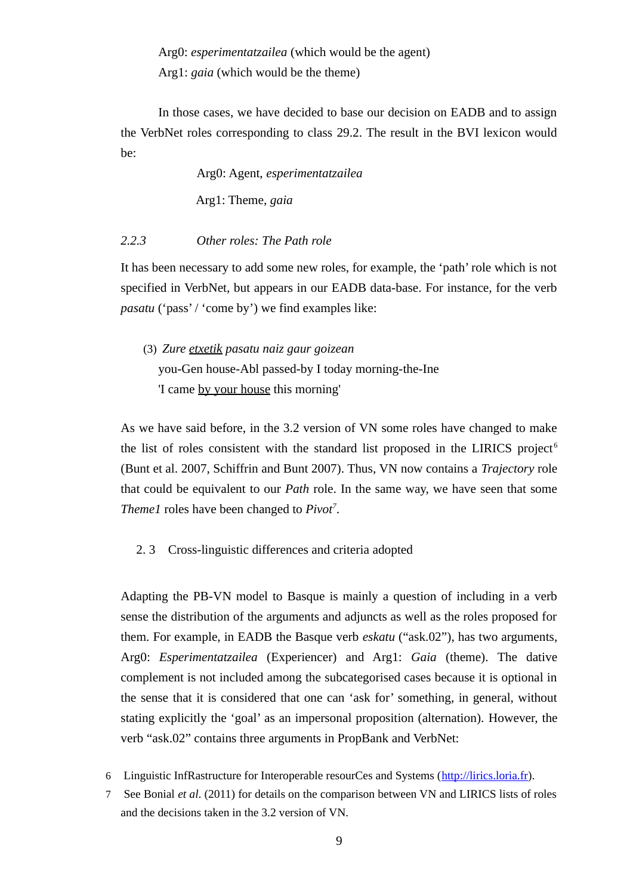Arg0: *esperimentatzailea* (which would be the agent) Arg1: *gaia* (which would be the theme)

In those cases, we have decided to base our decision on EADB and to assign the VerbNet roles corresponding to class 29.2. The result in the BVI lexicon would be:

> Arg0: Agent, *esperimentatzailea* Arg1: Theme, *gaia*

# *2.2.3 Other roles: The Path role*

It has been necessary to add some new roles, for example, the 'path' role which is not specified in VerbNet, but appears in our EADB data-base. For instance, for the verb *pasatu* ('pass' / 'come by') we find examples like:

(3) *Zure etxetik pasatu naiz gaur goizean* you-Gen house-Abl passed-by I today morning-the-Ine 'I came by your house this morning'

As we have said before, in the 3.2 version of VN some roles have changed to make the list of roles consistent with the standard list proposed in the LIRICS project<sup>[6](#page-8-0)</sup> (Bunt et al. 2007, Schiffrin and Bunt 2007). Thus, VN now contains a *Trajectory* role that could be equivalent to our *Path* role. In the same way, we have seen that some *Theme1* roles have been changed to *Pivot[7](#page-8-1)* .

2. 3 Cross-linguistic differences and criteria adopted

Adapting the PB-VN model to Basque is mainly a question of including in a verb sense the distribution of the arguments and adjuncts as well as the roles proposed for them. For example, in EADB the Basque verb *eskatu* ("ask.02"), has two arguments, Arg0: *Esperimentatzailea* (Experiencer) and Arg1: *Gaia* (theme). The dative complement is not included among the subcategorised cases because it is optional in the sense that it is considered that one can 'ask for' something, in general, without stating explicitly the 'goal' as an impersonal proposition (alternation). However, the verb "ask.02" contains three arguments in PropBank and VerbNet:

- <span id="page-8-0"></span>6 Linguistic InfRastructure for Interoperable resourCes and Systems [\(http://lirics.loria.fr\)](http://lirics.loria.fr/).
- <span id="page-8-1"></span>7 See Bonial *et al*. (2011) for details on the comparison between VN and LIRICS lists of roles and the decisions taken in the 3.2 version of VN.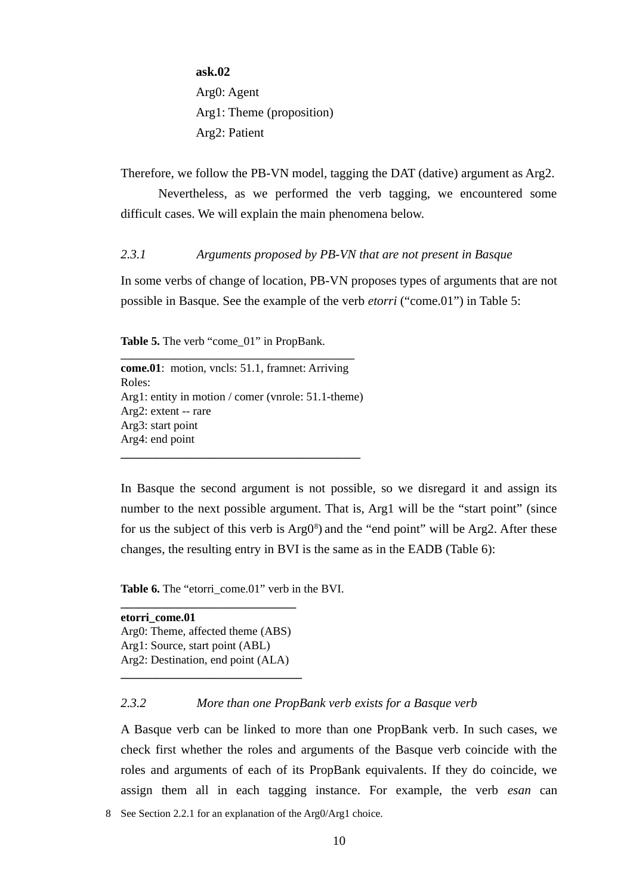**ask.02** Arg0: Agent Arg1: Theme (proposition) Arg2: Patient

Therefore, we follow the PB-VN model, tagging the DAT (dative) argument as Arg2.

Nevertheless, as we performed the verb tagging, we encountered some difficult cases. We will explain the main phenomena below.

*2.3.1 Arguments proposed by PB-VN that are not present in Basque*

In some verbs of change of location, PB-VN proposes types of arguments that are not possible in Basque. See the example of the verb *etorri* ("come.01") in Table 5:

**Table 5.** The verb "come\_01" in PropBank.

**come.01**: motion, vncls: [51.1,](http://verbs.colorado.edu/verb-index/vn/escape-51.1.php) framnet: Arriving Roles: Arg1: entity in motion / comer (vnrole: 51.1-theme) Arg2: extent -- rare Arg3: start point Arg4: end point **\_\_\_\_\_\_\_\_\_\_\_\_\_\_\_\_\_\_\_\_\_\_\_\_\_\_\_\_\_\_\_\_\_\_\_\_\_\_\_\_\_**

**\_\_\_\_\_\_\_\_\_\_\_\_\_\_\_\_\_\_\_\_\_\_\_\_\_\_\_\_\_\_\_\_\_\_\_\_\_\_\_\_\_\_\_\_**

In Basque the second argument is not possible, so we disregard it and assign its number to the next possible argument. That is, Arg1 will be the "start point" (since for us the subject of this verb is  $Arg0<sup>8</sup>$  $Arg0<sup>8</sup>$  $Arg0<sup>8</sup>$ ) and the "end point" will be Arg2. After these changes, the resulting entry in BVI is the same as in the EADB (Table 6):

**Table 6.** The "etorri\_come.01" verb in the BVI.

**etorri\_come.01** Arg0: Theme, affected theme (ABS) Arg1: Source, start point (ABL) Arg2: Destination, end point (ALA) **\_\_\_\_\_\_\_\_\_\_\_\_\_\_\_\_\_\_\_\_\_\_\_\_\_\_\_\_\_\_\_**

**\_\_\_\_\_\_\_\_\_\_\_\_\_\_\_\_\_\_\_\_\_\_\_\_\_\_\_\_\_\_**

# *2.3.2 More than one PropBank verb exists for a Basque verb*

A Basque verb can be linked to more than one PropBank verb. In such cases, we check first whether the roles and arguments of the Basque verb coincide with the roles and arguments of each of its PropBank equivalents. If they do coincide, we assign them all in each tagging instance. For example, the verb *esan* can

<span id="page-9-0"></span>8 See Section 2.2.1 for an explanation of the Arg0/Arg1 choice.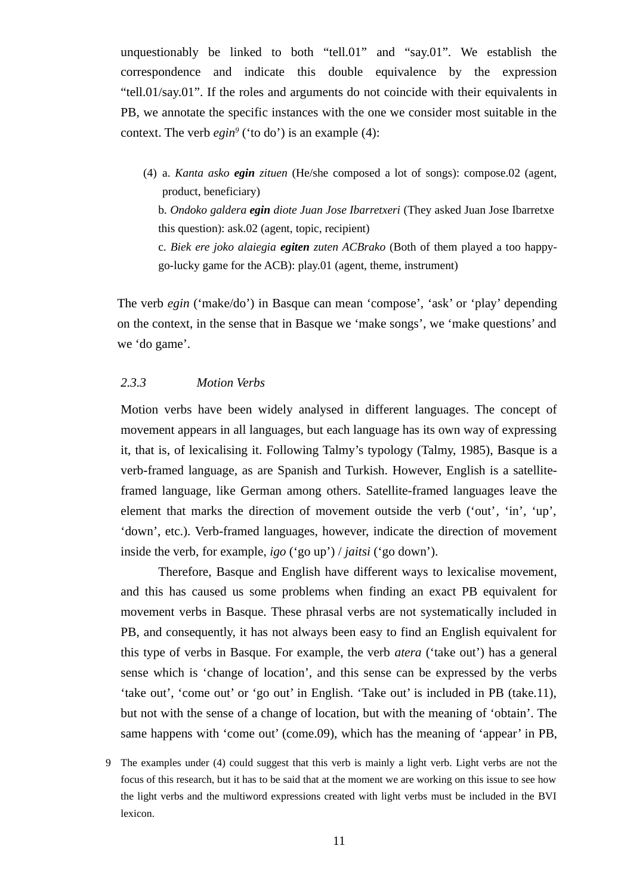unquestionably be linked to both "tell.01" and "say.01". We establish the correspondence and indicate this double equivalence by the expression "tell.01/say.01". If the roles and arguments do not coincide with their equivalents in PB, we annotate the specific instances with the one we consider most suitable in the context. The verb *egin[9](#page-10-0)* ('to do') is an example (4):

(4) a. *Kanta asko egin zituen* (He/she composed a lot of songs): compose.02 (agent, product, beneficiary)

b. *Ondoko galdera egin diote Juan Jose Ibarretxeri* (They asked Juan Jose Ibarretxe this question): ask.02 (agent, topic, recipient)

c. *Biek ere joko alaiegia egiten zuten ACBrako* (Both of them played a too happygo-lucky game for the ACB): play.01 (agent, theme, instrument)

The verb *egin* ('make/do') in Basque can mean 'compose', 'ask' or 'play' depending on the context, in the sense that in Basque we 'make songs', we 'make questions' and we 'do game'.

#### *2.3.3 Motion Verbs*

Motion verbs have been widely analysed in different languages. The concept of movement appears in all languages, but each language has its own way of expressing it, that is, of lexicalising it. Following Talmy's typology (Talmy, 1985), Basque is a verb-framed language, as are Spanish and Turkish. However, English is a satelliteframed language, like German among others. Satellite-framed languages leave the element that marks the direction of movement outside the verb ('out'*,* 'in'*,* 'up'*,* 'down', etc.). Verb-framed languages, however, indicate the direction of movement inside the verb, for example, *igo* ('go up') / *jaitsi* ('go down').

Therefore, Basque and English have different ways to lexicalise movement, and this has caused us some problems when finding an exact PB equivalent for movement verbs in Basque. These phrasal verbs are not systematically included in PB, and consequently, it has not always been easy to find an English equivalent for this type of verbs in Basque. For example, the verb *atera* ('take out') has a general sense which is 'change of location', and this sense can be expressed by the verbs 'take out', 'come out' or 'go out' in English. 'Take out' is included in PB (take.11), but not with the sense of a change of location, but with the meaning of 'obtain'. The same happens with 'come out' (come.09), which has the meaning of 'appear' in PB,

<span id="page-10-0"></span>9 The examples under (4) could suggest that this verb is mainly a light verb. Light verbs are not the focus of this research, but it has to be said that at the moment we are working on this issue to see how the light verbs and the multiword expressions created with light verbs must be included in the BVI lexicon.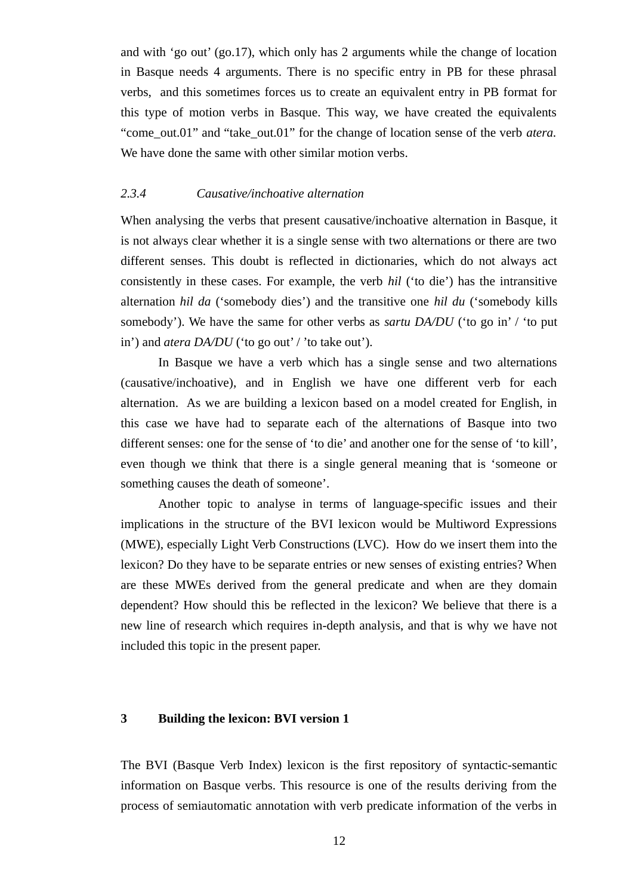and with 'go out' (go.17), which only has 2 arguments while the change of location in Basque needs 4 arguments. There is no specific entry in PB for these phrasal verbs, and this sometimes forces us to create an equivalent entry in PB format for this type of motion verbs in Basque. This way, we have created the equivalents "come\_out.01" and "take\_out.01" for the change of location sense of the verb *atera.* We have done the same with other similar motion verbs.

#### *2.3.4 Causative/inchoative alternation*

When analysing the verbs that present causative/inchoative alternation in Basque, it is not always clear whether it is a single sense with two alternations or there are two different senses. This doubt is reflected in dictionaries, which do not always act consistently in these cases. For example, the verb *hil* ('to die') has the intransitive alternation *hil da* ('somebody dies') and the transitive one *hil du* ('somebody kills somebody'). We have the same for other verbs as *sartu DA/DU* ('to go in' / 'to put in') and *atera DA/DU* ('to go out' / 'to take out').

In Basque we have a verb which has a single sense and two alternations (causative/inchoative), and in English we have one different verb for each alternation. As we are building a lexicon based on a model created for English, in this case we have had to separate each of the alternations of Basque into two different senses: one for the sense of 'to die' and another one for the sense of 'to kill', even though we think that there is a single general meaning that is 'someone or something causes the death of someone'.

Another topic to analyse in terms of language-specific issues and their implications in the structure of the BVI lexicon would be Multiword Expressions (MWE), especially Light Verb Constructions (LVC). How do we insert them into the lexicon? Do they have to be separate entries or new senses of existing entries? When are these MWEs derived from the general predicate and when are they domain dependent? How should this be reflected in the lexicon? We believe that there is a new line of research which requires in-depth analysis, and that is why we have not included this topic in the present paper.

#### **3 Building the lexicon: BVI version 1**

The BVI (Basque Verb Index) lexicon is the first repository of syntactic-semantic information on Basque verbs. This resource is one of the results deriving from the process of semiautomatic annotation with verb predicate information of the verbs in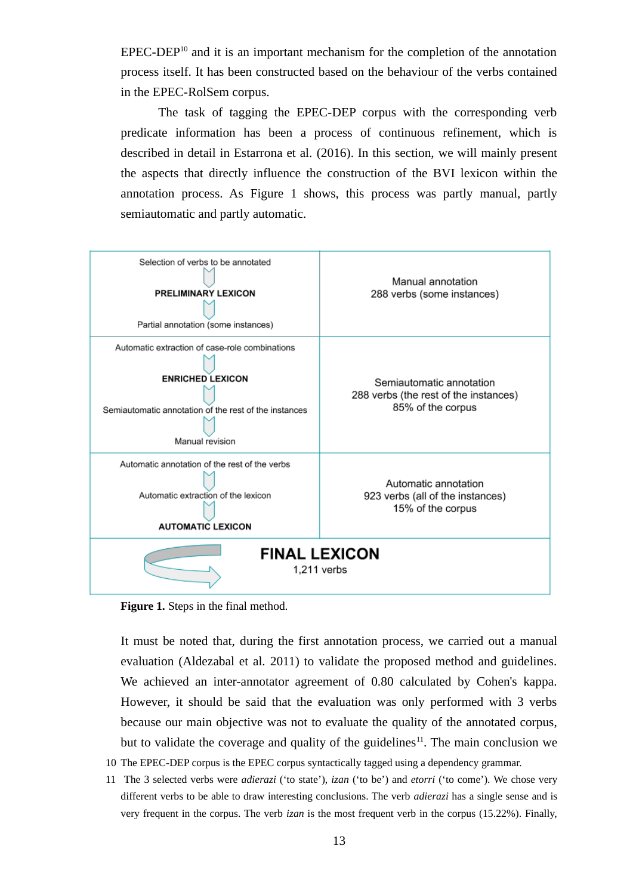$EPEC-DEP<sup>10</sup>$  $EPEC-DEP<sup>10</sup>$  $EPEC-DEP<sup>10</sup>$  and it is an important mechanism for the completion of the annotation process itself. It has been constructed based on the behaviour of the verbs contained in the EPEC-RolSem corpus.

The task of tagging the EPEC-DEP corpus with the corresponding verb predicate information has been a process of continuous refinement, which is described in detail in Estarrona et al. (2016). In this section, we will mainly present the aspects that directly influence the construction of the BVI lexicon within the annotation process. As Figure 1 shows, this process was partly manual, partly semiautomatic and partly automatic.



**Figure 1.** Steps in the final method.

It must be noted that, during the first annotation process, we carried out a manual evaluation (Aldezabal et al. 2011) to validate the proposed method and guidelines. We achieved an inter-annotator agreement of 0.80 calculated by Cohen's kappa. However, it should be said that the evaluation was only performed with 3 verbs because our main objective was not to evaluate the quality of the annotated corpus, but to validate the coverage and quality of the guidelines<sup>[11](#page-12-1)</sup>. The main conclusion we

- <span id="page-12-0"></span>10 The EPEC-DEP corpus is the EPEC corpus syntactically tagged using a dependency grammar.
- <span id="page-12-1"></span>11 The 3 selected verbs were *adierazi* ('to state'), *izan* ('to be') and *etorri* ('to come'). We chose very different verbs to be able to draw interesting conclusions. The verb *adierazi* has a single sense and is very frequent in the corpus. The verb *izan* is the most frequent verb in the corpus (15.22%). Finally,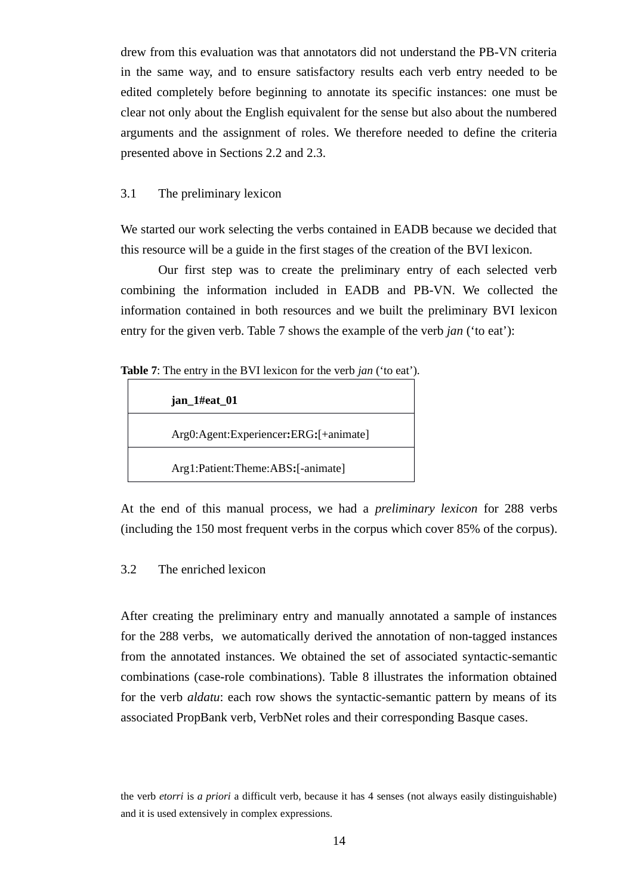drew from this evaluation was that annotators did not understand the PB-VN criteria in the same way, and to ensure satisfactory results each verb entry needed to be edited completely before beginning to annotate its specific instances: one must be clear not only about the English equivalent for the sense but also about the numbered arguments and the assignment of roles. We therefore needed to define the criteria presented above in Sections 2.2 and 2.3.

### 3.1 The preliminary lexicon

We started our work selecting the verbs contained in EADB because we decided that this resource will be a guide in the first stages of the creation of the BVI lexicon.

Our first step was to create the preliminary entry of each selected verb combining the information included in EADB and PB-VN. We collected the information contained in both resources and we built the preliminary BVI lexicon entry for the given verb. Table 7 shows the example of the verb *jan* ('to eat'):

**Table 7**: The entry in the BVI lexicon for the verb *jan* ('to eat')*.*

| jan_1#eat_01                          |  |
|---------------------------------------|--|
| Arg0:Agent:Experiencer:ERG:[+animate] |  |
| Arg1:Patient:Theme:ABS:[-animate]     |  |

At the end of this manual process, we had a *preliminary lexicon* for 288 verbs (including the 150 most frequent verbs in the corpus which cover 85% of the corpus).

# 3.2 The enriched lexicon

After creating the preliminary entry and manually annotated a sample of instances for the 288 verbs, we automatically derived the annotation of non-tagged instances from the annotated instances. We obtained the set of associated syntactic-semantic combinations (case-role combinations). Table 8 illustrates the information obtained for the verb *aldatu*: each row shows the syntactic-semantic pattern by means of its associated PropBank verb, VerbNet roles and their corresponding Basque cases.

the verb *etorri* is *a priori* a difficult verb, because it has 4 senses (not always easily distinguishable) and it is used extensively in complex expressions.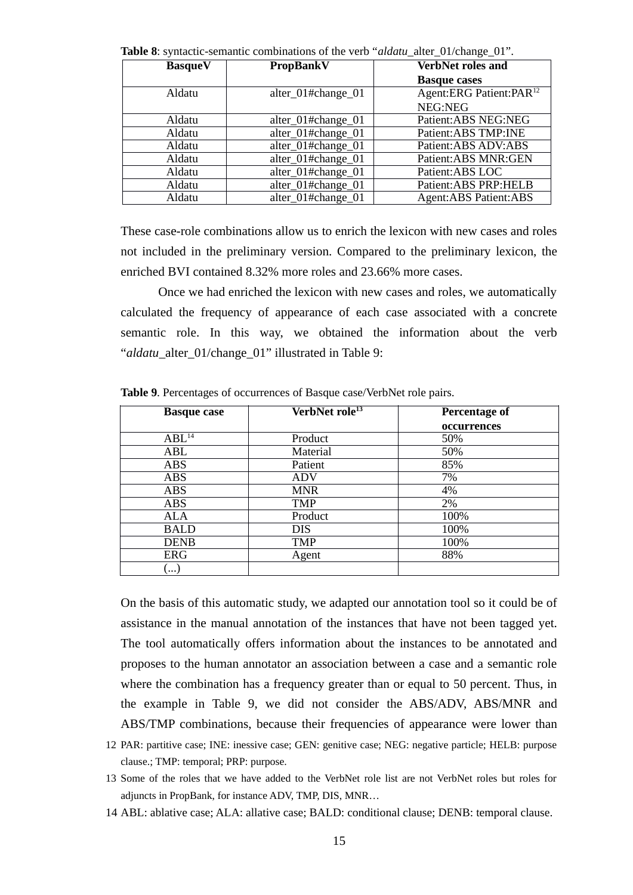|                | <b>Table o</b> : Syntactic-semantic combinations of the verb and all alter 01/change 01. |                                     |
|----------------|------------------------------------------------------------------------------------------|-------------------------------------|
| <b>BasqueV</b> | <b>PropBankV</b>                                                                         | <b>VerbNet roles and</b>            |
|                |                                                                                          | <b>Basque cases</b>                 |
| Aldatu         | alter_01#change_01                                                                       | Agent:ERG Patient:PAR <sup>12</sup> |
|                |                                                                                          | NEG:NEG                             |
| Aldatu         | alter_01#change_01                                                                       | Patient: ABS NEG: NEG               |
| Aldatu         | alter_01#change_01                                                                       | Patient: ABS TMP: INE               |
| Aldatu         | alter_01#change_01                                                                       | Patient: ABS ADV: ABS               |
| Aldatu         | alter_01#change_01                                                                       | Patient: ABS MNR: GEN               |
| Aldatu         | alter_01#change_01                                                                       | Patient: ABS LOC                    |
| Aldatu         | alter_01#change_01                                                                       | Patient: ABS PRP: HELB              |
| Aldatu         | alter 01#change 01                                                                       | <b>Agent:ABS Patient:ABS</b>        |

**Table 8**: syntactic-semantic combinations of the verb "*aldatu*\_alter\_01/change\_01".

These case-role combinations allow us to enrich the lexicon with new cases and roles not included in the preliminary version. Compared to the preliminary lexicon, the enriched BVI contained 8.32% more roles and 23.66% more cases.

Once we had enriched the lexicon with new cases and roles, we automatically calculated the frequency of appearance of each case associated with a concrete semantic role. In this way, we obtained the information about the verb "*aldatu*\_alter\_01/change\_01" illustrated in Table 9:

| <b>Basque case</b> | VerbNet role <sup>13</sup> | <b>Percentage of</b> |
|--------------------|----------------------------|----------------------|
|                    |                            | occurrences          |
| ABL <sup>14</sup>  | Product                    | 50%                  |
| ABL                | Material                   | 50%                  |
| <b>ABS</b>         | Patient                    | 85%                  |
| <b>ABS</b>         | ADV                        | 7%                   |
| <b>ABS</b>         | MNR                        | 4%                   |
| <b>ABS</b>         | TMP                        | 2%                   |
| ALA                | Product                    | 100%                 |
| <b>BALD</b>        | <b>DIS</b>                 | 100%                 |
| <b>DENB</b>        | <b>TMP</b>                 | 100%                 |
| <b>ERG</b>         | Agent                      | 88%                  |
| $\cdots$           |                            |                      |

**Table 9**. Percentages of occurrences of Basque case/VerbNet role pairs.

On the basis of this automatic study, we adapted our annotation tool so it could be of assistance in the manual annotation of the instances that have not been tagged yet. The tool automatically offers information about the instances to be annotated and proposes to the human annotator an association between a case and a semantic role where the combination has a frequency greater than or equal to 50 percent. Thus, in the example in Table 9, we did not consider the ABS/ADV, ABS/MNR and ABS/TMP combinations, because their frequencies of appearance were lower than

- <span id="page-14-0"></span>12 PAR: partitive case; INE: inessive case; GEN: genitive case; NEG: negative particle; HELB: purpose clause.; TMP: temporal; PRP: purpose.
- <span id="page-14-1"></span>13 Some of the roles that we have added to the VerbNet role list are not VerbNet roles but roles for adjuncts in PropBank, for instance ADV, TMP, DIS, MNR…
- <span id="page-14-2"></span>14 ABL: ablative case; ALA: allative case; BALD: conditional clause; DENB: temporal clause.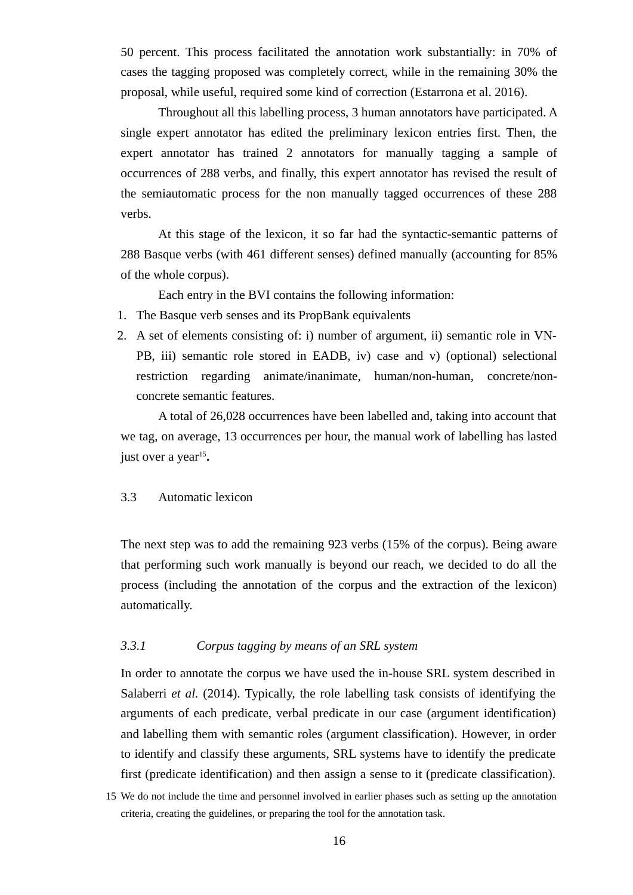50 percent. This process facilitated the annotation work substantially: in 70% of cases the tagging proposed was completely correct, while in the remaining 30% the proposal, while useful, required some kind of correction (Estarrona et al. 2016).

Throughout all this labelling process, 3 human annotators have participated. A single expert annotator has edited the preliminary lexicon entries first. Then, the expert annotator has trained 2 annotators for manually tagging a sample of occurrences of 288 verbs, and finally, this expert annotator has revised the result of the semiautomatic process for the non manually tagged occurrences of these 288 verbs.

At this stage of the lexicon, it so far had the syntactic-semantic patterns of 288 Basque verbs (with 461 different senses) defined manually (accounting for 85% of the whole corpus).

Each entry in the BVI contains the following information:

- 1. The Basque verb senses and its PropBank equivalents
- 2. A set of elements consisting of: i) number of argument, ii) semantic role in VN-PB, iii) semantic role stored in EADB, iv) case and v) (optional) selectional restriction regarding animate/inanimate, human/non-human, concrete/nonconcrete semantic features.

A total of 26,028 occurrences have been labelled and, taking into account that we tag, on average, 13 occurrences per hour, the manual work of labelling has lasted just over a year<sup>[15](#page-15-0)</sup>.

### 3.3 Automatic lexicon

The next step was to add the remaining 923 verbs (15% of the corpus). Being aware that performing such work manually is beyond our reach, we decided to do all the process (including the annotation of the corpus and the extraction of the lexicon) automatically.

# *3.3.1 Corpus tagging by means of an SRL system*

In order to annotate the corpus we have used the in-house SRL system described in Salaberri *et al.* (2014). Typically, the role labelling task consists of identifying the arguments of each predicate, verbal predicate in our case (argument identification) and labelling them with semantic roles (argument classification). However, in order to identify and classify these arguments, SRL systems have to identify the predicate first (predicate identification) and then assign a sense to it (predicate classification).

<span id="page-15-0"></span><sup>15</sup> We do not include the time and personnel involved in earlier phases such as setting up the annotation criteria, creating the guidelines, or preparing the tool for the annotation task.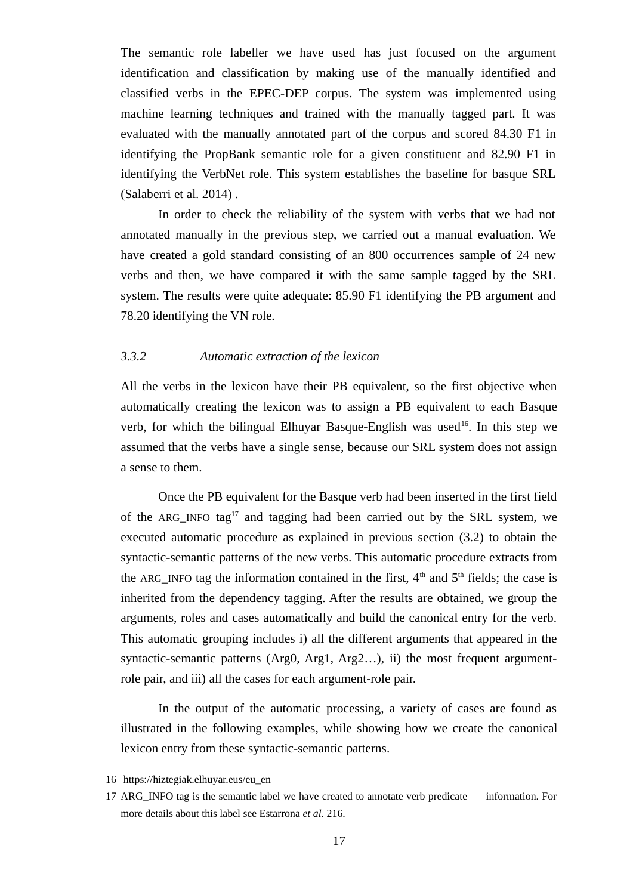The semantic role labeller we have used has just focused on the argument identification and classification by making use of the manually identified and classified verbs in the EPEC-DEP corpus. The system was implemented using machine learning techniques and trained with the manually tagged part. It was evaluated with the manually annotated part of the corpus and scored 84.30 F1 in identifying the PropBank semantic role for a given constituent and 82.90 F1 in identifying the VerbNet role. This system establishes the baseline for basque SRL (Salaberri et al. 2014) .

In order to check the reliability of the system with verbs that we had not annotated manually in the previous step, we carried out a manual evaluation. We have created a gold standard consisting of an 800 occurrences sample of 24 new verbs and then, we have compared it with the same sample tagged by the SRL system. The results were quite adequate: 85.90 F1 identifying the PB argument and 78.20 identifying the VN role.

# *3.3.2 Automatic extraction of the lexicon*

All the verbs in the lexicon have their PB equivalent, so the first objective when automatically creating the lexicon was to assign a PB equivalent to each Basque verb, for which the bilingual Elhuyar Basque-English was used<sup>[16](#page-16-0)</sup>. In this step we assumed that the verbs have a single sense, because our SRL system does not assign a sense to them.

Once the PB equivalent for the Basque verb had been inserted in the first field of the ARG\_INFO tag<sup>[17](#page-16-1)</sup> and tagging had been carried out by the SRL system, we executed automatic procedure as explained in previous section (3.2) to obtain the syntactic-semantic patterns of the new verbs. This automatic procedure extracts from the ARG INFO tag the information contained in the first,  $4<sup>th</sup>$  and  $5<sup>th</sup>$  fields; the case is inherited from the dependency tagging. After the results are obtained, we group the arguments, roles and cases automatically and build the canonical entry for the verb. This automatic grouping includes i) all the different arguments that appeared in the syntactic-semantic patterns (Arg0, Arg1, Arg2...), ii) the most frequent argumentrole pair, and iii) all the cases for each argument-role pair.

In the output of the automatic processing, a variety of cases are found as illustrated in the following examples, while showing how we create the canonical lexicon entry from these syntactic-semantic patterns.

<span id="page-16-0"></span><sup>16</sup> https://hiztegiak.elhuyar.eus/eu\_en

<span id="page-16-1"></span><sup>17</sup> ARG\_INFO tag is the semantic label we have created to annotate verb predicate information. For more details about this label see Estarrona *et al.* 216.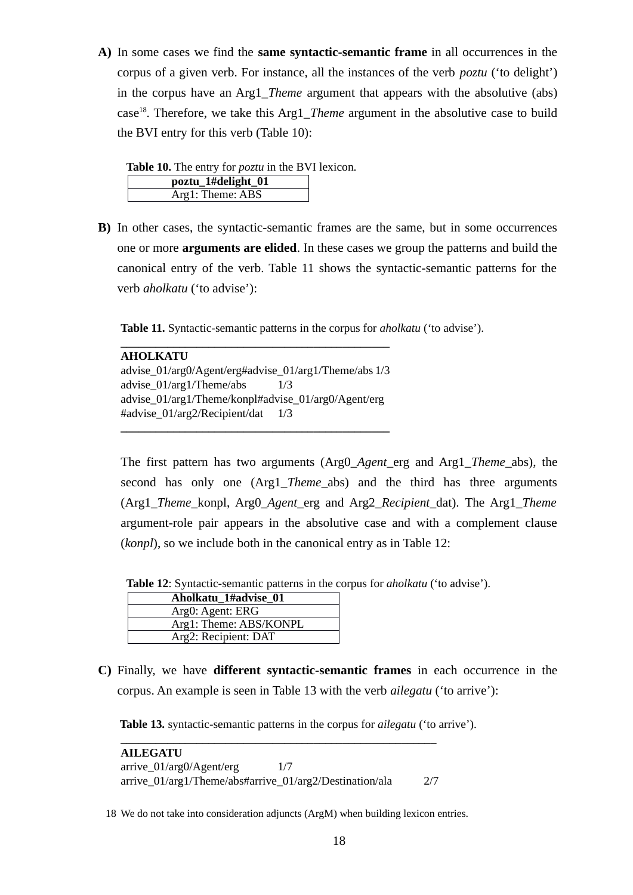**A)** In some cases we find the **same syntactic-semantic frame** in all occurrences in the corpus of a given verb. For instance, all the instances of the verb *poztu* ('to delight') in the corpus have an Arg1\_*Theme* argument that appears with the absolutive (abs) case[18](#page-17-0). Therefore, we take this Arg1\_*Theme* argument in the absolutive case to build the BVI entry for this verb (Table 10):

| <b>Table 10.</b> The entry for <i>poztu</i> in the BVI lexicon. |  |
|-----------------------------------------------------------------|--|
|-----------------------------------------------------------------|--|

| poztu 1#delight 01 |
|--------------------|
| Arg1: Theme: ABS   |

**B)** In other cases, the syntactic-semantic frames are the same, but in some occurrences one or more **arguments are elided**. In these cases we group the patterns and build the canonical entry of the verb. Table 11 shows the syntactic-semantic patterns for the verb *aholkatu* ('to advise'):

**Table 11.** Syntactic-semantic patterns in the corpus for *aholkatu* ('to advise').

#### **AHOLKATU**

advise\_01/arg0/Agent/erg#advise\_01/arg1/Theme/abs 1/3 advise\_01/arg1/Theme/abs 1/3 advise\_01/arg1/Theme/konpl#advise\_01/arg0/Agent/erg #advise\_01/arg2/Recipient/dat 1/3

**\_\_\_\_\_\_\_\_\_\_\_\_\_\_\_\_\_\_\_\_\_\_\_\_\_\_\_\_\_\_\_\_\_\_\_\_\_\_\_\_\_\_\_\_\_\_**

**\_\_\_\_\_\_\_\_\_\_\_\_\_\_\_\_\_\_\_\_\_\_\_\_\_\_\_\_\_\_\_\_\_\_\_\_\_\_\_\_\_\_\_\_\_\_**

The first pattern has two arguments (Arg0\_*Agent*\_erg and Arg1\_*Theme*\_abs), the second has only one (Arg1\_*Theme*\_abs) and the third has three arguments (Arg1\_*Theme*\_konpl, Arg0\_*Agent*\_erg and Arg2\_*Recipient*\_dat). The Arg1\_*Theme* argument-role pair appears in the absolutive case and with a complement clause (*konpl*), so we include both in the canonical entry as in Table 12:

 **Table 12**: Syntactic-semantic patterns in the corpus for *aholkatu* ('to advise').

| Aholkatu_1#advise_01   |
|------------------------|
| Arg0: Agent: ERG       |
| Arg1: Theme: ABS/KONPL |
| Arg2: Recipient: DAT   |

**C)** Finally, we have **different syntactic-semantic frames** in each occurrence in the corpus. An example is seen in Table 13 with the verb *ailegatu* ('to arrive'):

 **Table 13.** syntactic-semantic patterns in the corpus for *ailegatu* ('to arrive').

| <b>AILEGATU</b>                                         |     |     |
|---------------------------------------------------------|-----|-----|
| $arrive_01/arg0/Agent/erg$                              | 1/7 |     |
| arrive_01/arg1/Theme/abs#arrive_01/arg2/Destination/ala |     | 2/7 |

<span id="page-17-0"></span>18 We do not take into consideration adjuncts (ArgM) when building lexicon entries.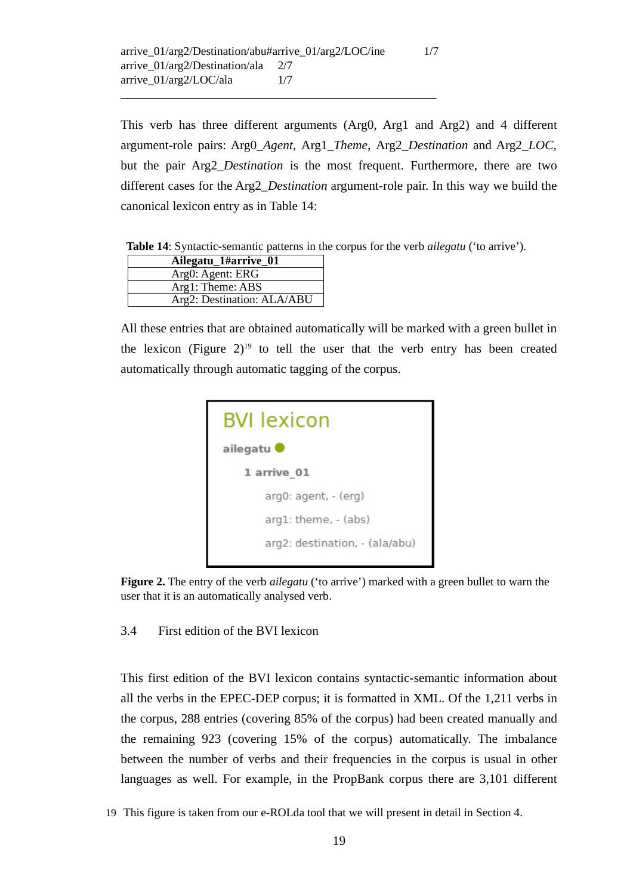**\_\_\_\_\_\_\_\_\_\_\_\_\_\_\_\_\_\_\_\_\_\_\_\_\_\_\_\_\_\_\_\_\_\_\_\_\_\_\_\_\_\_\_\_\_\_\_\_\_\_\_\_\_\_**

This verb has three different arguments (Arg0, Arg1 and Arg2) and 4 different argument-role pairs: Arg0\_*Agent,* Arg1\_*Theme,* Arg2\_*Destination* and Arg2\_*LOC,* but the pair Arg2\_*Destination* is the most frequent. Furthermore, there are two different cases for the Arg2\_*Destination* argument-role pair. In this way we build the canonical lexicon entry as in Table 14:

 **Table 14**: Syntactic-semantic patterns in the corpus for the verb *ailegatu* ('to arrive').

| Ailegatu_1#arrive_01       |
|----------------------------|
| Arg0: Agent: ERG           |
| Arg1: Theme: ABS           |
| Arg2: Destination: ALA/ABU |

All these entries that are obtained automatically will be marked with a green bullet in the lexicon (Figure  $2)^{19}$  $2)^{19}$  $2)^{19}$  to tell the user that the verb entry has been created automatically through automatic tagging of the corpus.



**Figure 2.** The entry of the verb *ailegatu* ('to arrive') marked with a green bullet to warn the user that it is an automatically analysed verb.

3.4 First edition of the BVI lexicon

This first edition of the BVI lexicon contains syntactic-semantic information about all the verbs in the EPEC-DEP corpus; it is formatted in XML. Of the 1,211 verbs in the corpus, 288 entries (covering 85% of the corpus) had been created manually and the remaining 923 (covering 15% of the corpus) automatically. The imbalance between the number of verbs and their frequencies in the corpus is usual in other languages as well. For example, in the PropBank corpus there are 3,101 different

<span id="page-18-0"></span>19 This figure is taken from our e-ROLda tool that we will present in detail in Section 4.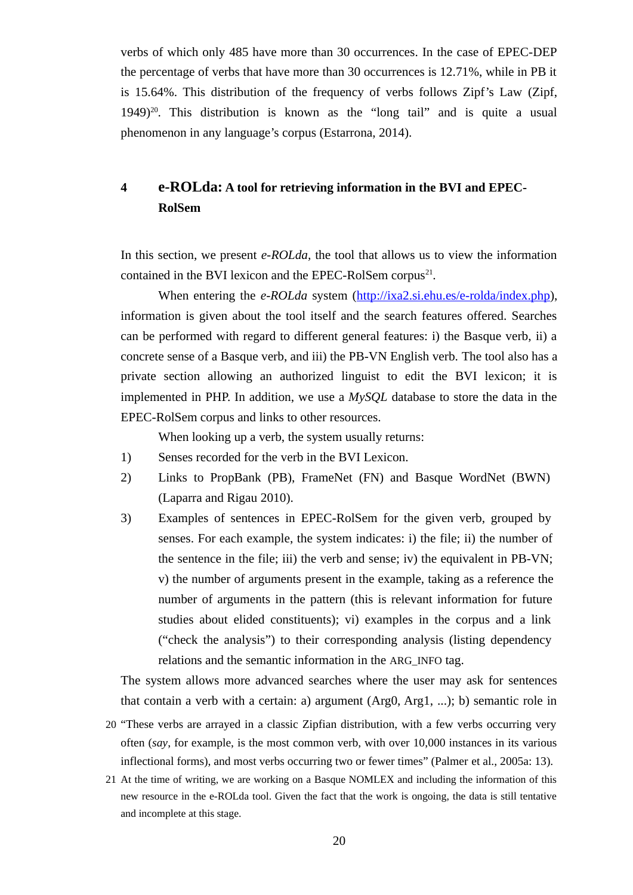verbs of which only 485 have more than 30 occurrences. In the case of EPEC-DEP the percentage of verbs that have more than 30 occurrences is 12.71%, while in PB it is 15.64%. This distribution of the frequency of verbs follows Zipf's Law (Zipf,  $1949)^{20}$  $1949)^{20}$  $1949)^{20}$ . This distribution is known as the "long tail" and is quite a usual phenomenon in any language's corpus (Estarrona, 2014).

# **4 e-ROLda: A tool for retrieving information in the BVI and EPEC-RolSem**

In this section, we present *e-ROLda,* the tool that allows us to view the information contained in the BVI lexicon and the EPEC-RolSem corpus<sup>[21](#page-19-1)</sup>.

When entering the *e-ROLda* system [\(http://ixa2.si.ehu.es/e-rolda/index.php\)](http://ixa2.si.ehu.es/e-rolda/index.php), information is given about the tool itself and the search features offered. Searches can be performed with regard to different general features: i) the Basque verb, ii) a concrete sense of a Basque verb, and iii) the PB-VN English verb. The tool also has a private section allowing an authorized linguist to edit the BVI lexicon; it is implemented in PHP. In addition, we use a *MySQL* database to store the data in the EPEC-RolSem corpus and links to other resources.

When looking up a verb, the system usually returns:

- 1) Senses recorded for the verb in the BVI Lexicon.
- 2) Links to PropBank (PB), FrameNet (FN) and Basque WordNet (BWN) (Laparra and Rigau 2010).
- 3) Examples of sentences in EPEC-RolSem for the given verb, grouped by senses. For each example, the system indicates: i) the file; ii) the number of the sentence in the file; iii) the verb and sense; iv) the equivalent in PB-VN; v) the number of arguments present in the example, taking as a reference the number of arguments in the pattern (this is relevant information for future studies about elided constituents); vi) examples in the corpus and a link ("check the analysis") to their corresponding analysis (listing dependency relations and the semantic information in the ARG\_INFO tag.

The system allows more advanced searches where the user may ask for sentences that contain a verb with a certain: a) argument (Arg0, Arg1, ...); b) semantic role in

- <span id="page-19-0"></span>20 "These verbs are arrayed in a classic Zipfian distribution, with a few verbs occurring very often (*say*, for example, is the most common verb, with over 10,000 instances in its various inflectional forms), and most verbs occurring two or fewer times" (Palmer et al., 2005a: 13).
- <span id="page-19-1"></span>21 At the time of writing, we are working on a Basque NOMLEX and including the information of this new resource in the e-ROLda tool. Given the fact that the work is ongoing, the data is still tentative and incomplete at this stage.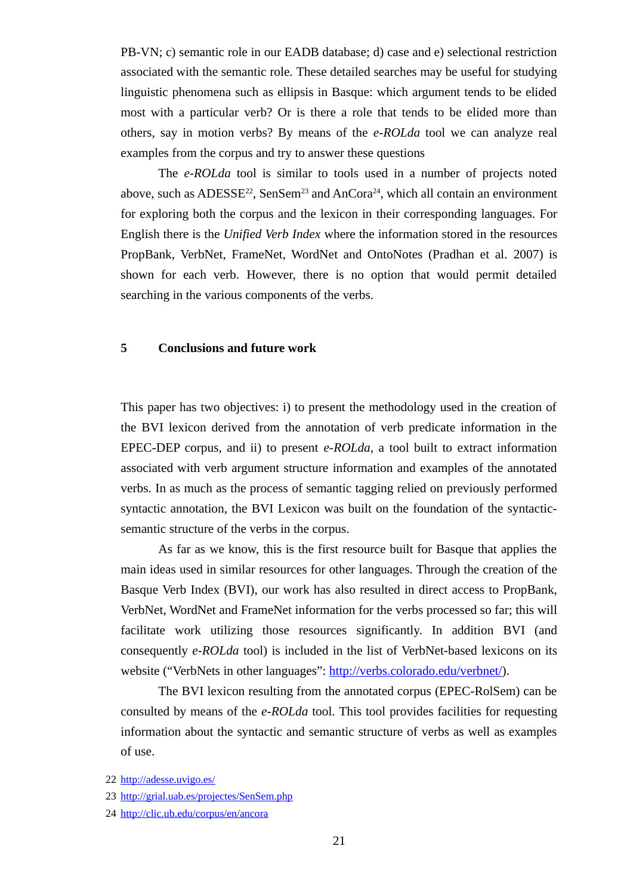PB-VN; c) semantic role in our EADB database; d) case and e) selectional restriction associated with the semantic role. These detailed searches may be useful for studying linguistic phenomena such as ellipsis in Basque: which argument tends to be elided most with a particular verb? Or is there a role that tends to be elided more than others, say in motion verbs? By means of the *e-ROLda* tool we can analyze real examples from the corpus and try to answer these questions

The *e-ROLda* tool is similar to tools used in a number of projects noted above, such as ADESSE<sup>[22](#page-20-0)</sup>, SenSem<sup>[23](#page-20-1)</sup> and AnCora<sup>[24](#page-20-2)</sup>, which all contain an environment for exploring both the corpus and the lexicon in their corresponding languages. For English there is the *Unified Verb Index* where the information stored in the resources PropBank, VerbNet, FrameNet, WordNet and OntoNotes (Pradhan et al. 2007) is shown for each verb. However, there is no option that would permit detailed searching in the various components of the verbs.

# **5 Conclusions and future work**

This paper has two objectives: i) to present the methodology used in the creation of the BVI lexicon derived from the annotation of verb predicate information in the EPEC-DEP corpus, and ii) to present *e-ROLda,* a tool built to extract information associated with verb argument structure information and examples of the annotated verbs. In as much as the process of semantic tagging relied on previously performed syntactic annotation, the BVI Lexicon was built on the foundation of the syntacticsemantic structure of the verbs in the corpus.

As far as we know, this is the first resource built for Basque that applies the main ideas used in similar resources for other languages. Through the creation of the Basque Verb Index (BVI), our work has also resulted in direct access to PropBank, VerbNet, WordNet and FrameNet information for the verbs processed so far; this will facilitate work utilizing those resources significantly. In addition BVI (and consequently *e-ROLda* tool) is included in the list of VerbNet-based lexicons on its website ("VerbNets in other languages": [http://verbs.colorado.edu/verbnet/\)](http://verbs.colorado.edu/verbnet/).

The BVI lexicon resulting from the annotated corpus (EPEC-RolSem) can be consulted by means of the *e-ROLda* tool. This tool provides facilities for requesting information about the syntactic and semantic structure of verbs as well as examples of use.

<span id="page-20-0"></span><sup>22</sup><http://adesse.uvigo.es/>

<span id="page-20-1"></span><sup>23</sup> <http://grial.uab.es/projectes/SenSem.php>

<span id="page-20-2"></span><sup>24</sup> <http://clic.ub.edu/corpus/en/ancora>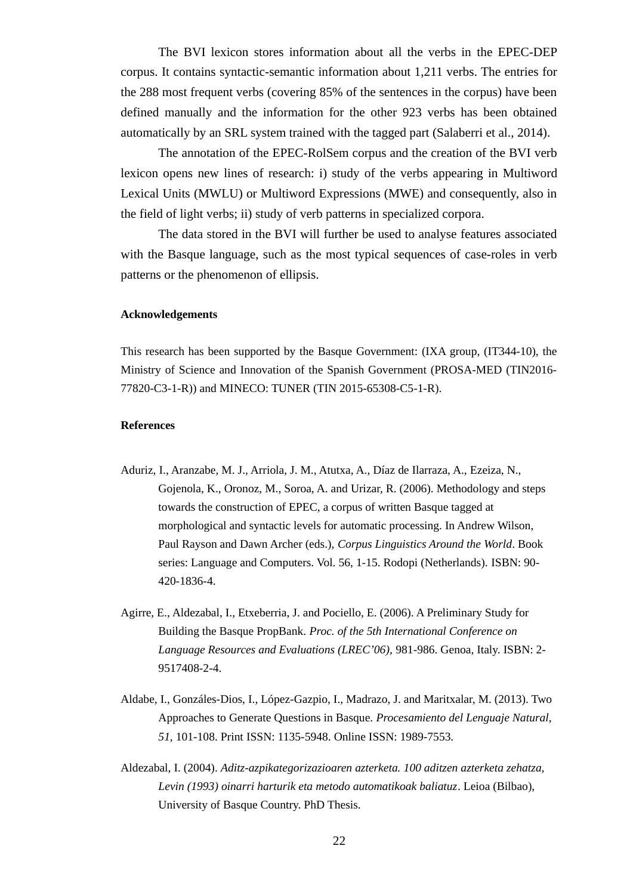The BVI lexicon stores information about all the verbs in the EPEC-DEP corpus. It contains syntactic-semantic information about 1,211 verbs. The entries for the 288 most frequent verbs (covering 85% of the sentences in the corpus) have been defined manually and the information for the other 923 verbs has been obtained automatically by an SRL system trained with the tagged part (Salaberri et al.*,* 2014).

The annotation of the EPEC-RolSem corpus and the creation of the BVI verb lexicon opens new lines of research: i) study of the verbs appearing in Multiword Lexical Units (MWLU) or Multiword Expressions (MWE) and consequently, also in the field of light verbs; ii) study of verb patterns in specialized corpora.

The data stored in the BVI will further be used to analyse features associated with the Basque language, such as the most typical sequences of case-roles in verb patterns or the phenomenon of ellipsis.

#### **Acknowledgements**

This research has been supported by the Basque Government: (IXA group, (IT344-10), the Ministry of Science and Innovation of the Spanish Government (PROSA-MED (TIN2016- 77820-C3-1-R)) and MINECO: TUNER (TIN 2015-65308-C5-1-R).

#### **References**

- Aduriz, I., Aranzabe, M. J., Arriola, J. M., Atutxa, A., Díaz de Ilarraza, A., Ezeiza, N., Gojenola, K., Oronoz, M., Soroa, A. and Urizar, R. (2006). Methodology and steps towards the construction of EPEC, a corpus of written Basque tagged at morphological and syntactic levels for automatic processing. In Andrew Wilson, Paul Rayson and Dawn Archer (eds.), *Corpus Linguistics Around the World*. Book series: Language and Computers. Vol. 56, 1-15. Rodopi (Netherlands). ISBN: 90- 420-1836-4.
- Agirre, E., Aldezabal, I., Etxeberria, J. and Pociello, E. (2006). A Preliminary Study for Building the Basque PropBank. *Proc. of the 5th International Conference on Language Resources and Evaluations (LREC'06),* 981-986. Genoa, Italy. ISBN: 2- 9517408-2-4.
- Aldabe, I., Gonzáles-Dios, I., López-Gazpio, I., Madrazo, J. and Maritxalar, M. (2013). Two Approaches to Generate Questions in Basque. *Procesamiento del Lenguaje Natural, 51,* 101-108. Print ISSN: 1135-5948. Online ISSN: 1989-7553.
- Aldezabal, I. (2004). *Aditz-azpikategorizazioaren azterketa. 100 aditzen azterketa zehatza, Levin (1993) oinarri harturik eta metodo automatikoak baliatuz*. Leioa (Bilbao), University of Basque Country. PhD Thesis.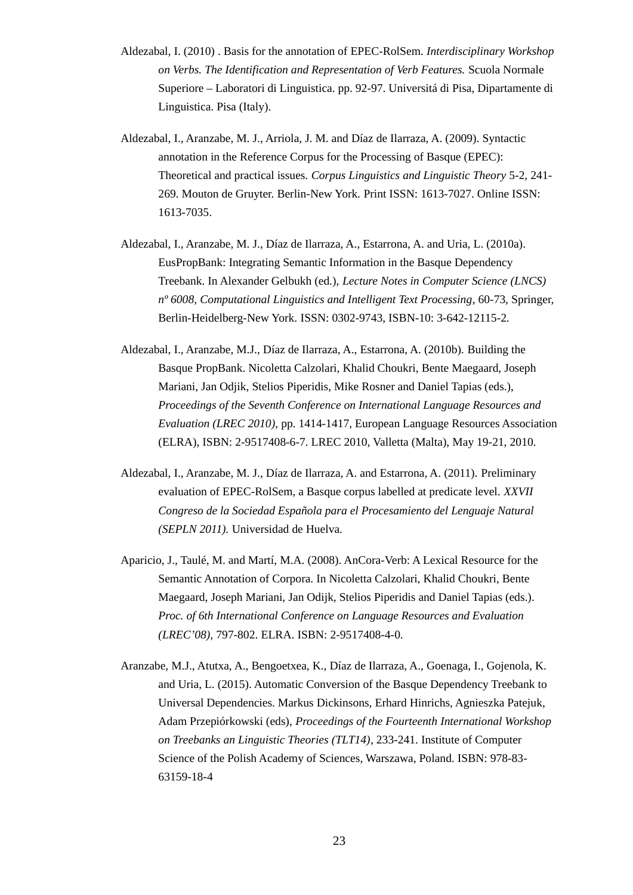- Aldezabal, I. (2010) . Basis for the annotation of EPEC-RolSem. *Interdisciplinary Workshop on Verbs. The Identification and Representation of Verb Features.* Scuola Normale Superiore – Laboratori di Linguistica. pp. 92-97. Universitá di Pisa, Dipartamente di Linguistica. Pisa (Italy).
- Aldezabal, I., Aranzabe, M. J., Arriola, J. M. and Díaz de Ilarraza, A. (2009). Syntactic annotation in the Reference Corpus for the Processing of Basque (EPEC): Theoretical and practical issues. *Corpus Linguistics and Linguistic Theory* 5-2, 241- 269. Mouton de Gruyter. Berlin-New York. Print ISSN: 1613-7027. Online ISSN: 1613-7035.
- Aldezabal, I., Aranzabe, M. J., Díaz de Ilarraza, A., Estarrona, A. and Uria, L. (2010a). EusPropBank: Integrating Semantic Information in the Basque Dependency Treebank. In Alexander Gelbukh (ed.), *Lecture Notes in Computer Science (LNCS) nº 6008, Computational Linguistics and Intelligent Text Processing*, 60-73, Springer, Berlin-Heidelberg-New York. ISSN: 0302-9743, ISBN-10: 3-642-12115-2.
- Aldezabal, I., Aranzabe, M.J., Díaz de Ilarraza, A., Estarrona, A. (2010b). [Building the](http://ixa.si.ehu.es/node/3467)  [Basque PropBank.](http://ixa.si.ehu.es/node/3467) Nicoletta Calzolari, Khalid Choukri, Bente Maegaard, Joseph Mariani, Jan Odjik, Stelios Piperidis, Mike Rosner and Daniel Tapias (eds.), *Proceedings of the Seventh Conference on International Language Resources and Evaluation (LREC 2010)*, pp. 1414-1417, European Language Resources Association (ELRA), ISBN: 2-9517408-6-7. LREC 2010, Valletta (Malta), May 19-21, 2010.
- Aldezabal, I., Aranzabe, M. J., Díaz de Ilarraza, A. and Estarrona, A. (2011). Preliminary evaluation of EPEC-RolSem, a Basque corpus labelled at predicate level. *XXVII Congreso de la Sociedad Española para el Procesamiento del Lenguaje Natural (SEPLN 2011).* Universidad de Huelva.
- Aparicio, J., Taulé, M. and Martí, M.A. (2008). AnCora-Verb: A Lexical Resource for the Semantic Annotation of Corpora. In Nicoletta Calzolari, Khalid Choukri, Bente Maegaard, Joseph Mariani, Jan Odijk, Stelios Piperidis and Daniel Tapias (eds.). *Proc. of 6th International Conference on Language Resources and Evaluation (LREC'08),* 797-802. ELRA. ISBN: 2-9517408-4-0.
- Aranzabe, M.J., Atutxa, A., Bengoetxea, K., Díaz de Ilarraza, A., Goenaga, I., Gojenola, K. and Uria, L. (2015). Automatic Conversion of the Basque Dependency Treebank to Universal Dependencies. Markus Dickinsons, Erhard Hinrichs, Agnieszka Patejuk, Adam Przepiórkowski (eds), *Proceedings of the Fourteenth International Workshop on Treebanks an Linguistic Theories (TLT14)*, 233-241. Institute of Computer Science of the Polish Academy of Sciences, Warszawa, Poland. ISBN: 978-83- 63159-18-4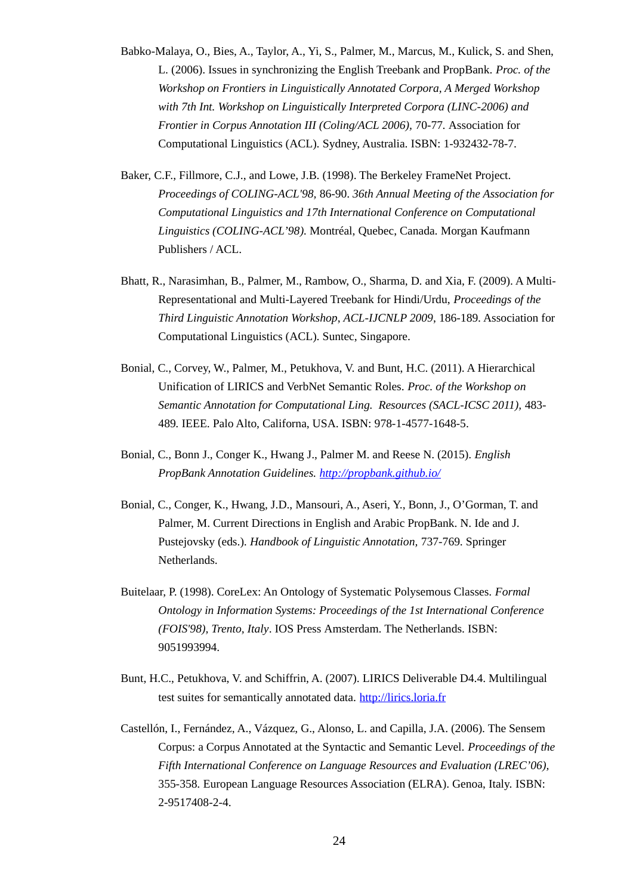- Babko-Malaya, O., Bies, A., Taylor, A., Yi, S., Palmer, M., Marcus, M., Kulick, S. and Shen, L. (2006). Issues in synchronizing the English Treebank and PropBank. *Proc. of the Workshop on Frontiers in Linguistically Annotated Corpora, A Merged Workshop with 7th Int. Workshop on Linguistically Interpreted Corpora (LINC-2006) and Frontier in Corpus Annotation III (Coling/ACL 2006), 70-77. Association for* Computational Linguistics (ACL). Sydney, Australia. ISBN: 1-932432-78-7.
- Baker, C.F., Fillmore, C.J., and Lowe, J.B. (1998). The Berkeley FrameNet Project. *Proceedings of COLING-ACL'98,* 86-90. *36th Annual Meeting of the Association for Computational Linguistics and 17th International Conference on Computational Linguistics (COLING-ACL'98).* Montréal, Quebec, Canada*.* Morgan Kaufmann Publishers / ACL.
- Bhatt, R., Narasimhan, B., Palmer, M., Rambow, O., Sharma, D. and Xia, F. (2009). A Multi-Representational and Multi-Layered Treebank for Hindi/Urdu, *Proceedings of the Third Linguistic Annotation Workshop*, *ACL-IJCNLP 2009*, 186-189. Association for Computational Linguistics (ACL). Suntec, Singapore.
- Bonial, C., Corvey, W., Palmer, M., Petukhova, V. and Bunt, H.C. (2011). A Hierarchical Unification of LIRICS and VerbNet Semantic Roles. *Proc. of the Workshop on Semantic Annotation for Computational Ling. Resources (SACL-ICSC 2011),* 483- 489*.* IEEE. Palo Alto, Californa, USA. ISBN: 978-1-4577-1648-5.
- Bonial, C., Bonn J., Conger K., Hwang J., Palmer M. and Reese N. (2015). *English PropBank Annotation Guidelines.<http://propbank.github.io/>*
- Bonial, C., Conger, K., Hwang, J.D., Mansouri, A., Aseri, Y., Bonn, J., O'Gorman, T. and Palmer, M. Current Directions in English and Arabic PropBank. N. Ide and J. Pustejovsky (eds.). *Handbook of Linguistic Annotation,* 737-769. Springer Netherlands.
- Buitelaar, P. (1998). CoreLex: An Ontology of Systematic Polysemous Classes. *Formal Ontology in Information Systems: Proceedings of the 1st International Conference (FOIS'98), Trento, Italy*. IOS Press Amsterdam. The Netherlands. ISBN: 9051993994.
- Bunt, H.C., Petukhova, V. and Schiffrin, A. (2007). LIRICS Deliverable D4.4. Multilingual test suites for semantically annotated data. [http://lirics.loria.fr](http://lirics.loria.fr/)
- Castellón, I., Fernández, A., Vázquez, G., Alonso, L. and Capilla, J.A. (2006). The Sensem Corpus: a Corpus Annotated at the Syntactic and Semantic Level. *Proceedings of the Fifth International Conference on Language Resources and Evaluation (LREC'06),*  355-358*.* European Language Resources Association (ELRA). Genoa, Italy. ISBN: 2-9517408-2-4.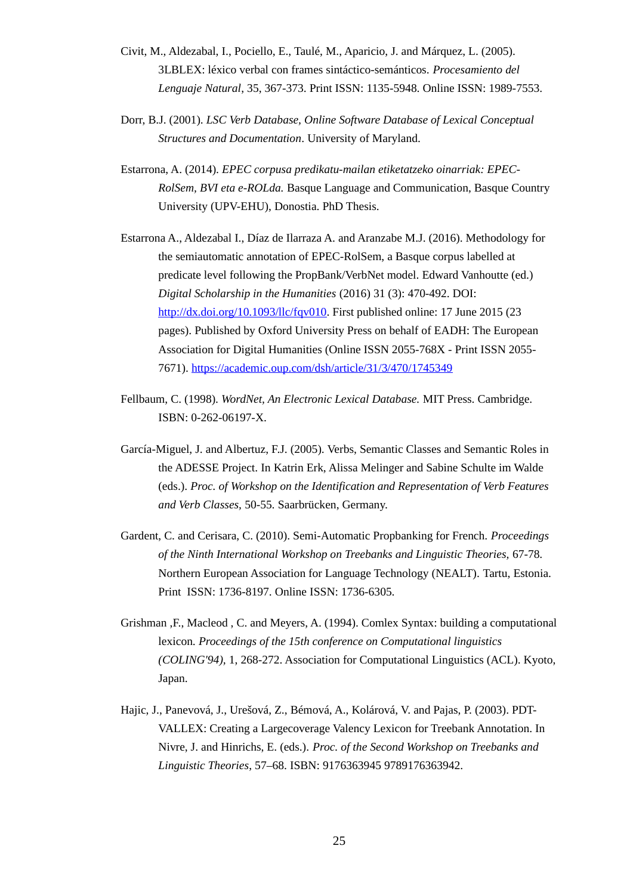- Civit, M., Aldezabal, I., Pociello, E., Taulé, M., Aparicio, J. and Márquez, L. (2005). 3LBLEX: léxico verbal con frames sintáctico-semánticos. *Procesamiento del Lenguaje Natural*, 35, 367-373. Print ISSN: 1135-5948. Online ISSN: 1989-7553.
- Dorr, B.J. (2001). *LSC Verb Database, Online Software Database of Lexical Conceptual Structures and Documentation*. University of Maryland.
- Estarrona, A. (2014). *EPEC corpusa predikatu-mailan etiketatzeko oinarriak: EPEC-RolSem, BVI eta e-ROLda.* Basque Language and Communication, Basque Country University (UPV-EHU), Donostia. PhD Thesis.
- Estarrona A., Aldezabal I., Díaz de Ilarraza A. and Aranzabe M.J. (2016). Methodology for the semiautomatic annotation of EPEC-RolSem, a Basque corpus labelled at predicate level following the PropBank/VerbNet model. Edward Vanhoutte (ed.) *Digital Scholarship in the Humanities* (2016) 31 (3): 470-492. DOI: [http://dx.doi.org/10.1093/llc/fqv010.](http://dx.doi.org/10.1093/llc/fqv010) First published online: 17 June 2015 (23 pages). Published by Oxford University Press on behalf of EADH: The European Association for Digital Humanities (Online ISSN 2055-768X - Print ISSN 2055- 7671).<https://academic.oup.com/dsh/article/31/3/470/1745349>
- Fellbaum, C. (1998). *WordNet, An Electronic Lexical Database.* MIT Press. Cambridge. ISBN: 0-262-06197-X.
- García-Miguel, J. and Albertuz, F.J. (2005). Verbs, Semantic Classes and Semantic Roles in the ADESSE Project. In Katrin Erk, Alissa Melinger and Sabine Schulte im Walde (eds.). *Proc. of Workshop on the Identification and Representation of Verb Features and Verb Classes,* 50-55*.* Saarbrücken, Germany.
- Gardent, C. and Cerisara, C. (2010). Semi-Automatic Propbanking for French. *Proceedings of the Ninth International Workshop on Treebanks and Linguistic Theories,* 67-78*.*  Northern European Association for Language Technology (NEALT). Tartu, Estonia. Print ISSN: 1736-8197. Online ISSN: 1736-6305.
- Grishman ,F., Macleod , C. and Meyers, A. (1994). Comlex Syntax: building a computational lexicon. *Proceedings of the 15th conference on Computational linguistics (COLING'94),* 1, 268-272. Association for Computational Linguistics (ACL). Kyoto, Japan.
- Hajic, J., Panevová, J., Urešová, Z., Bémová, A., Kolárová, V. and Pajas, P. (2003). PDT-VALLEX: Creating a Largecoverage Valency Lexicon for Treebank Annotation. In Nivre, J. and Hinrichs, E. (eds.). *Proc. of the Second Workshop on Treebanks and Linguistic Theories*, 57–68. ISBN: 9176363945 9789176363942.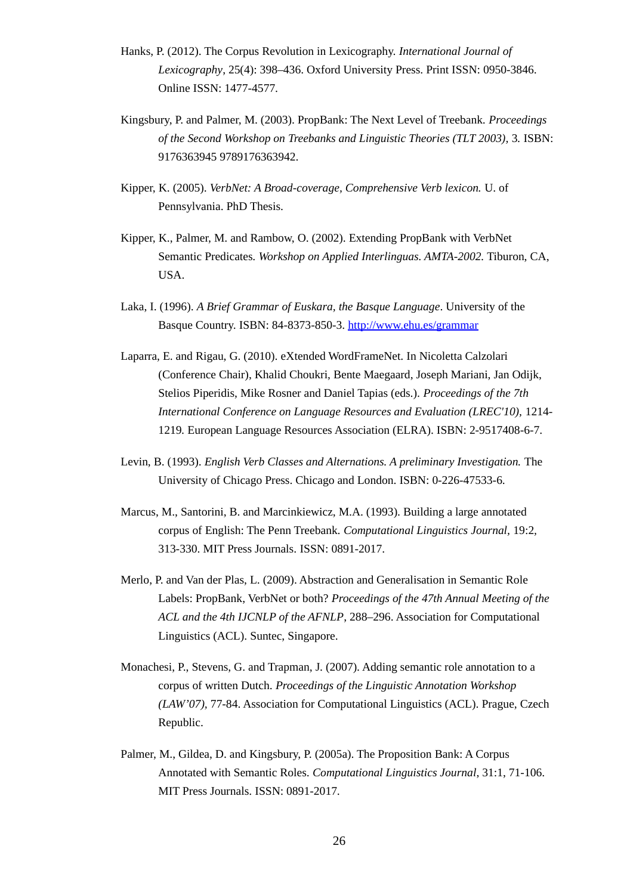- Hanks, P. (2012). The Corpus Revolution in Lexicography. *International Journal of Lexicography*, 25(4): 398–436. Oxford University Press. Print ISSN: 0950-3846. Online ISSN: 1477-4577.
- Kingsbury, P. and Palmer, M. (2003). PropBank: The Next Level of Treebank. *Proceedings of the Second Workshop on Treebanks and Linguistic Theories (TLT 2003),* 3*.* ISBN: 9176363945 9789176363942.
- Kipper, K. (2005). *VerbNet: A Broad-coverage, Comprehensive Verb lexicon.* U. of Pennsylvania. PhD Thesis.
- Kipper, K., Palmer, M. and Rambow, O. (2002). Extending PropBank with VerbNet Semantic Predicates. *Workshop on Applied Interlinguas. AMTA-2002.* Tiburon, CA, USA.
- Laka, I. (1996). *A Brief Grammar of Euskara, the Basque Language*. University of the Basque Country. ISBN: 84-8373-850-3.<http://www.ehu.es/grammar>
- Laparra, E. and Rigau, G. (2010). eXtended WordFrameNet. In Nicoletta Calzolari (Conference Chair), Khalid Choukri, Bente Maegaard, Joseph Mariani, Jan Odijk, Stelios Piperidis, Mike Rosner and Daniel Tapias (eds.). *Proceedings of the 7th International Conference on Language Resources and Evaluation (LREC'10),* 1214- 1219*.* European Language Resources Association (ELRA). ISBN: 2-9517408-6-7.
- Levin, B. (1993). *English Verb Classes and Alternations. A preliminary Investigation.* The University of Chicago Press. Chicago and London. ISBN: 0-226-47533-6.
- Marcus, M., Santorini, B. and Marcinkiewicz, M.A. (1993). Building a large annotated corpus of English: The Penn Treebank. *Computational Linguistics Journal,* 19:2*,*  313-330. MIT Press Journals. ISSN: 0891-2017.
- Merlo, P. and Van der Plas, L. (2009). Abstraction and Generalisation in Semantic Role Labels: PropBank, VerbNet or both? *Proceedings of the 47th Annual Meeting of the ACL and the 4th IJCNLP of the AFNLP*, 288–296. Association for Computational Linguistics (ACL). Suntec, Singapore.
- Monachesi, P., Stevens, G. and Trapman, J. (2007). Adding semantic role annotation to a corpus of written Dutch. *Proceedings of the Linguistic Annotation Workshop (LAW'07),* 77-84. Association for Computational Linguistics (ACL). Prague, Czech Republic.
- Palmer, M., Gildea, D. and Kingsbury, P. (2005a). The Proposition Bank: A Corpus Annotated with Semantic Roles. *Computational Linguistics Journal*, 31:1, 71-106. MIT Press Journals. ISSN: 0891-2017.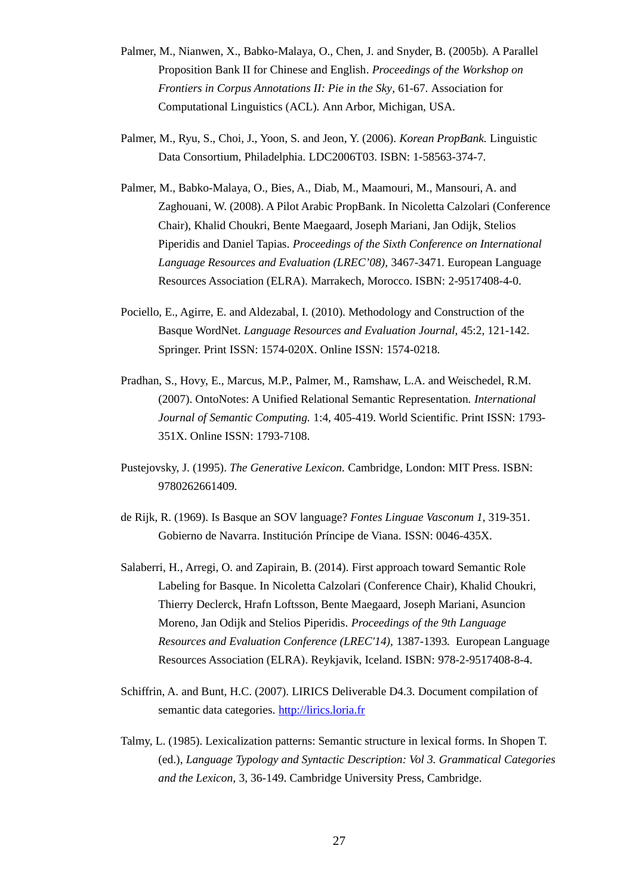- Palmer, M., Nianwen, X., Babko-Malaya, O., Chen, J. and Snyder, B. (2005b). [A Parallel](http://delivery.acm.org/10.1145/1610000/1608838/p61-palmer.pdf?key1=1608838&key2=7312718621&coll=GUIDE&dl=GUIDE&CFID=81057432&CFTOKEN=51361872)  [Proposition Bank II for Chinese and English.](http://delivery.acm.org/10.1145/1610000/1608838/p61-palmer.pdf?key1=1608838&key2=7312718621&coll=GUIDE&dl=GUIDE&CFID=81057432&CFTOKEN=51361872) *Proceedings of the Workshop on Frontiers in Corpus Annotations II: Pie in the Sky*, 61-67*.* Association for Computational Linguistics (ACL). Ann Arbor, Michigan, USA.
- Palmer, M., Ryu, S., Choi, J., Yoon, S. and Jeon, Y. (2006). *Korean PropBank.* Linguistic Data Consortium, Philadelphia. LDC2006T03. ISBN: 1-58563-374-7.
- Palmer, M., Babko-Malaya, O., Bies, A., Diab, M., Maamouri, M., Mansouri, A. and Zaghouani, W. (2008). A Pilot Arabic PropBank. In Nicoletta Calzolari (Conference Chair), Khalid Choukri, Bente Maegaard, Joseph Mariani, Jan Odijk, Stelios Piperidis and Daniel Tapias. *Proceedings of the Sixth Conference on International Language Resources and Evaluation (LREC'08),* 3467-3471*.* European Language Resources Association (ELRA). Marrakech, Morocco. ISBN: 2-9517408-4-0.
- Pociello, E., Agirre, E. and Aldezabal, I. (2010). Methodology and Construction of the Basque WordNet. *Language Resources and Evaluation Journal,* 45:2, 121-142*.*  Springer. Print ISSN: 1574-020X. Online ISSN: 1574-0218.
- Pradhan, S., Hovy, E., Marcus, M.P., Palmer, M., Ramshaw, L.A. and Weischedel, R.M. (2007). OntoNotes: A Unified Relational Semantic Representation. *International Journal of Semantic Computing.* 1:4, 405-419. World Scientific. Print ISSN: 1793- 351X. Online ISSN: 1793-7108.
- Pustejovsky, J. (1995). *The Generative Lexicon.* Cambridge, London: MIT Press. ISBN: 9780262661409.
- de Rijk, R. (1969). Is Basque an SOV language? *Fontes Linguae Vasconum 1*, 319-351. Gobierno de Navarra. Institución Príncipe de Viana. ISSN: 0046-435X.
- Salaberri, H., Arregi, O. and Zapirain, B. (2014). First approach toward Semantic Role Labeling for Basque. In Nicoletta Calzolari (Conference Chair), Khalid Choukri, Thierry Declerck, Hrafn Loftsson, Bente Maegaard, Joseph Mariani, Asuncion Moreno, Jan Odijk and Stelios Piperidis. *Proceedings of the 9th Language Resources and Evaluation Conference (LREC'14),* 1387-1393*.* European Language Resources Association (ELRA). Reykjavik, Iceland. ISBN: 978-2-9517408-8-4.
- Schiffrin, A. and Bunt, H.C. (2007). LIRICS Deliverable D4.3. Document compilation of semantic data categories. [http://lirics.loria.fr](http://lirics.loria.fr/)
- Talmy, L. (1985). Lexicalization patterns: Semantic structure in lexical forms. In Shopen T. (ed.), *Language Typology and Syntactic Description: Vol 3. Grammatical Categories and the Lexicon,* 3, 36-149. Cambridge University Press, Cambridge.